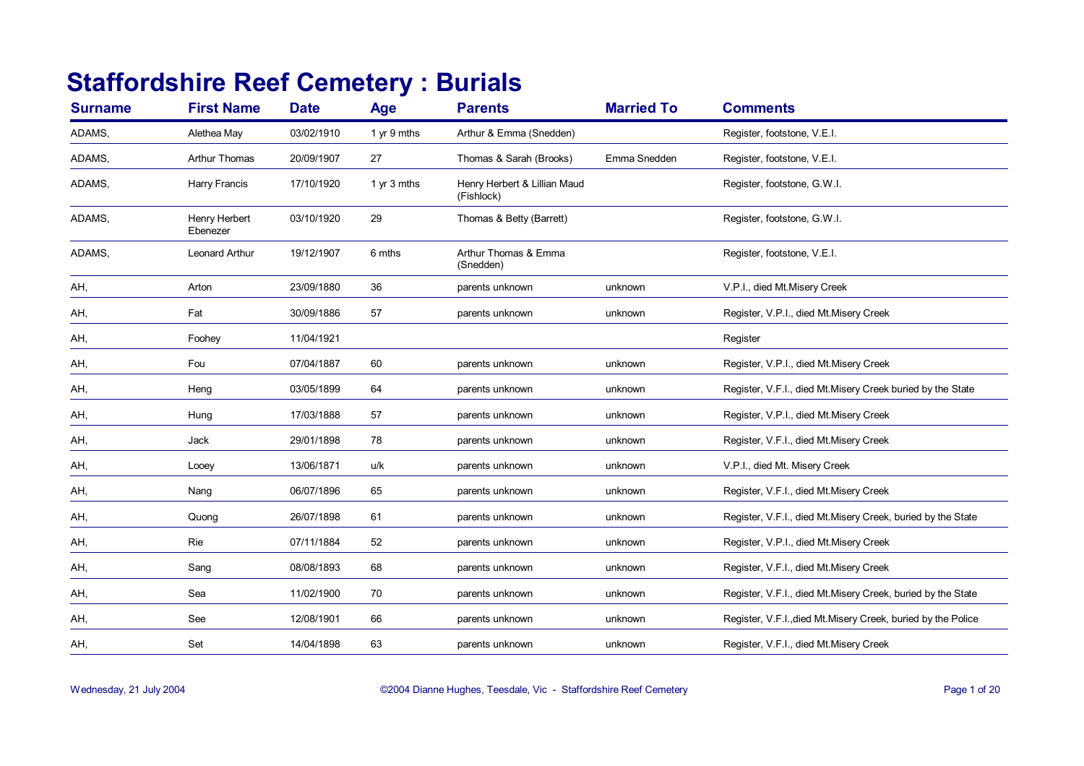## **Staffordshire Reef Cemetery : Burials**

| <b>Surname</b> | <b>First Name</b>         | <b>Date</b> | Age           | <b>Parents</b>                             | <b>Married To</b> | <b>Comments</b>                                               |
|----------------|---------------------------|-------------|---------------|--------------------------------------------|-------------------|---------------------------------------------------------------|
| ADAMS,         | Alethea May               | 03/02/1910  | 1 yr 9 mths   | Arthur & Emma (Snedden)                    |                   | Register, footstone, V.E.I.                                   |
| ADAMS,         | <b>Arthur Thomas</b>      | 20/09/1907  | 27            | Thomas & Sarah (Brooks)                    | Emma Snedden      | Register, footstone, V.E.I.                                   |
| ADAMS,         | Harry Francis             | 17/10/1920  | 1 $yr$ 3 mths | Henry Herbert & Lillian Maud<br>(Fishlock) |                   | Register, footstone, G.W.I.                                   |
| ADAMS,         | Henry Herbert<br>Ebenezer | 03/10/1920  | 29            | Thomas & Betty (Barrett)                   |                   | Register, footstone, G.W.I.                                   |
| ADAMS,         | <b>Leonard Arthur</b>     | 19/12/1907  | 6 mths        | Arthur Thomas & Emma<br>(Snedden)          |                   | Register, footstone, V.E.I.                                   |
| AH,            | Arton                     | 23/09/1880  | 36            | parents unknown                            | unknown           | V.P.I., died Mt.Misery Creek                                  |
| AH,            | Fat                       | 30/09/1886  | 57            | parents unknown                            | unknown           | Register, V.P.I., died Mt.Misery Creek                        |
| AH,            | Foohey                    | 11/04/1921  |               |                                            |                   | Register                                                      |
| AH,            | Fou                       | 07/04/1887  | 60            | parents unknown                            | unknown           | Register, V.P.I., died Mt.Misery Creek                        |
| AH,            | Heng                      | 03/05/1899  | 64            | parents unknown                            | unknown           | Register, V.F.I., died Mt.Misery Creek buried by the State    |
| AH,            | Hung                      | 17/03/1888  | 57            | parents unknown                            | unknown           | Register, V.P.I., died Mt.Misery Creek                        |
| AH,            | Jack                      | 29/01/1898  | 78            | parents unknown                            | unknown           | Register, V.F.I., died Mt.Misery Creek                        |
| AH,            | Looey                     | 13/06/1871  | u/k           | parents unknown                            | unknown           | V.P.I., died Mt. Misery Creek                                 |
| AH,            | Nang                      | 06/07/1896  | 65            | parents unknown                            | unknown           | Register, V.F.I., died Mt.Misery Creek                        |
| AH,            | Quong                     | 26/07/1898  | 61            | parents unknown                            | unknown           | Register, V.F.I., died Mt.Misery Creek, buried by the State   |
| AH,            | <b>Rie</b>                | 07/11/1884  | 52            | parents unknown                            | unknown           | Register, V.P.I., died Mt.Misery Creek                        |
| AH,            | Sang                      | 08/08/1893  | 68            | parents unknown                            | unknown           | Register, V.F.I., died Mt.Misery Creek                        |
| AH,            | Sea                       | 11/02/1900  | 70            | parents unknown                            | unknown           | Register, V.F.I., died Mt.Misery Creek, buried by the State   |
| AH,            | See                       | 12/08/1901  | 66            | parents unknown                            | unknown           | Register, V.F.I., died Mt. Misery Creek, buried by the Police |
| AH,            | Set                       | 14/04/1898  | 63            | parents unknown                            | unknown           | Register, V.F.I., died Mt.Misery Creek                        |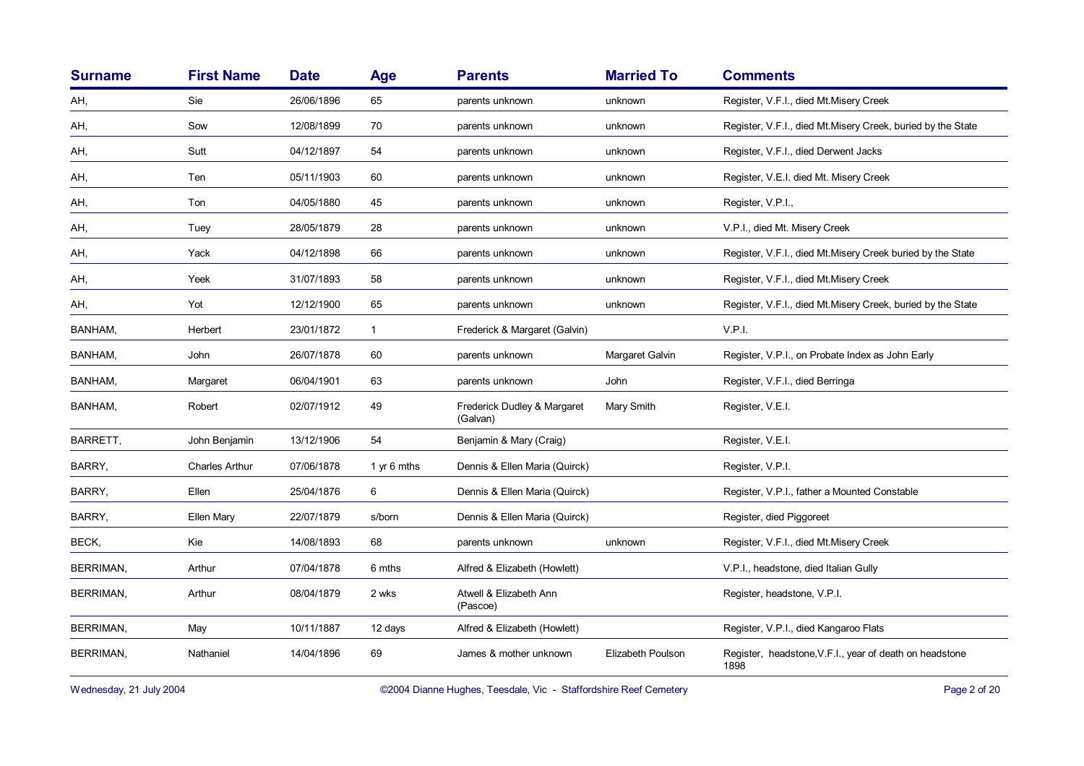| <b>Surname</b>   | <b>First Name</b>     | <b>Date</b> | Age          | <b>Parents</b>                          | <b>Married To</b> | <b>Comments</b>                                                 |
|------------------|-----------------------|-------------|--------------|-----------------------------------------|-------------------|-----------------------------------------------------------------|
| AH,              | Sie                   | 26/06/1896  | 65           | parents unknown                         | unknown           | Register, V.F.I., died Mt.Misery Creek                          |
| AH,              | Sow                   | 12/08/1899  | 70           | parents unknown                         | unknown           | Register, V.F.I., died Mt.Misery Creek, buried by the State     |
| AH,              | Sutt                  | 04/12/1897  | 54           | parents unknown                         | unknown           | Register, V.F.I., died Derwent Jacks                            |
| AH,              | Ten                   | 05/11/1903  | 60           | parents unknown                         | unknown           | Register, V.E.I. died Mt. Misery Creek                          |
| AH,              | Ton                   | 04/05/1880  | 45           | parents unknown                         | unknown           | Register, V.P.I.,                                               |
| AH,              | Tuey                  | 28/05/1879  | 28           | parents unknown                         | unknown           | V.P.I., died Mt. Misery Creek                                   |
| AH,              | Yack                  | 04/12/1898  | 66           | parents unknown                         | unknown           | Register, V.F.I., died Mt.Misery Creek buried by the State      |
| AH,              | Yeek                  | 31/07/1893  | 58           | parents unknown                         | unknown           | Register, V.F.I., died Mt.Misery Creek                          |
| AH,              | Yot                   | 12/12/1900  | 65           | parents unknown                         | unknown           | Register, V.F.I., died Mt.Misery Creek, buried by the State     |
| BANHAM,          | Herbert               | 23/01/1872  | $\mathbf{1}$ | Frederick & Margaret (Galvin)           |                   | V.P.I.                                                          |
| BANHAM,          | John                  | 26/07/1878  | 60           | parents unknown                         | Margaret Galvin   | Register, V.P.I., on Probate Index as John Early                |
| BANHAM,          | Margaret              | 06/04/1901  | 63           | parents unknown                         | <b>John</b>       | Register, V.F.I., died Berringa                                 |
| BANHAM,          | Robert                | 02/07/1912  | 49           | Frederick Dudley & Margaret<br>(Galvan) | Mary Smith        | Register, V.E.I.                                                |
| BARRETT,         | John Benjamin         | 13/12/1906  | 54           | Benjamin & Mary (Craig)                 |                   | Register, V.E.I.                                                |
| BARRY,           | <b>Charles Arthur</b> | 07/06/1878  | 1 yr 6 mths  | Dennis & Ellen Maria (Quirck)           |                   | Register, V.P.I.                                                |
| BARRY,           | Ellen                 | 25/04/1876  | 6            | Dennis & Ellen Maria (Quirck)           |                   | Register, V.P.I., father a Mounted Constable                    |
| BARRY,           | Ellen Mary            | 22/07/1879  | s/born       | Dennis & Ellen Maria (Quirck)           |                   | Register, died Piggoreet                                        |
| BECK,            | Kie                   | 14/08/1893  | 68           | parents unknown                         | unknown           | Register, V.F.I., died Mt.Misery Creek                          |
| <b>BERRIMAN,</b> | Arthur                | 07/04/1878  | 6 mths       | Alfred & Elizabeth (Howlett)            |                   | V.P.I., headstone, died Italian Gully                           |
| BERRIMAN,        | Arthur                | 08/04/1879  | 2 wks        | Atwell & Elizabeth Ann<br>(Pascoe)      |                   | Register, headstone, V.P.I.                                     |
| <b>BERRIMAN,</b> | May                   | 10/11/1887  | 12 days      | Alfred & Elizabeth (Howlett)            |                   | Register, V.P.I., died Kangaroo Flats                           |
| <b>BERRIMAN,</b> | Nathaniel             | 14/04/1896  | 69           | James & mother unknown                  | Elizabeth Poulson | Register, headstone, V.F.I., year of death on headstone<br>1898 |

Wednesday, 21 July 2004 **Dianne Hughes, Teesdale, Vic - Staffordshire Reef Cemetery** Page 2 of 20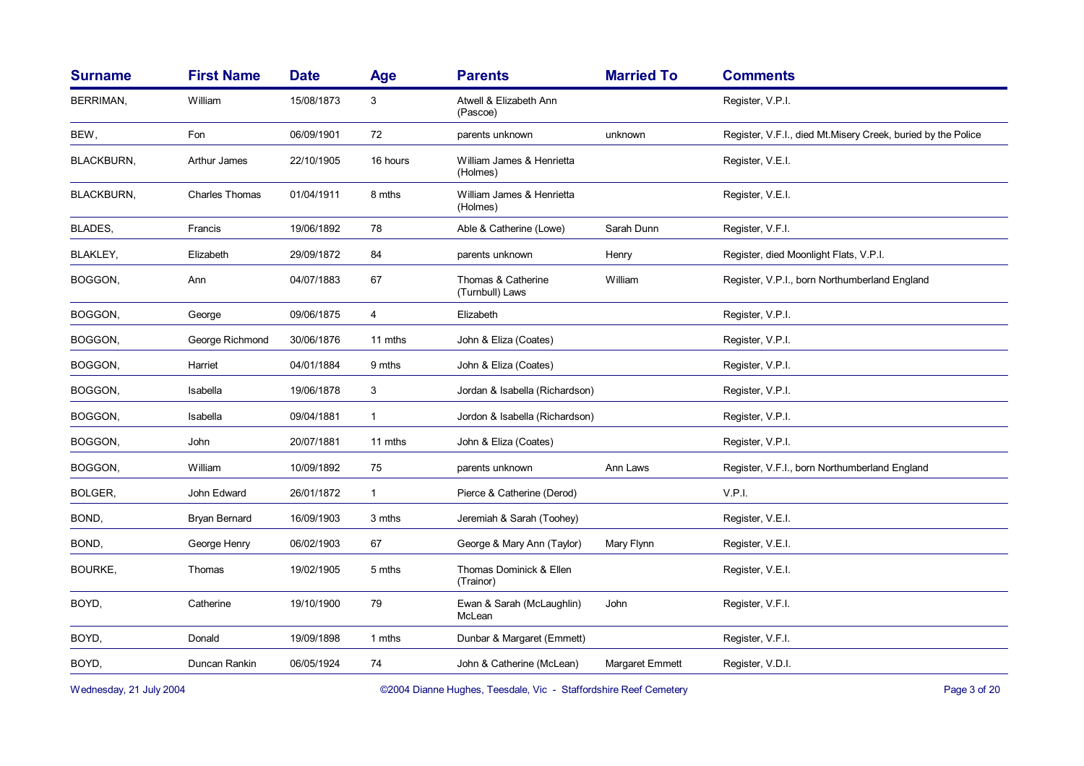| <b>Surname</b>    | <b>First Name</b>     | <b>Date</b> | Age          | <b>Parents</b>                        | <b>Married To</b> | <b>Comments</b>                                              |
|-------------------|-----------------------|-------------|--------------|---------------------------------------|-------------------|--------------------------------------------------------------|
| <b>BERRIMAN,</b>  | William               | 15/08/1873  | 3            | Atwell & Elizabeth Ann<br>(Pascoe)    |                   | Register, V.P.I.                                             |
| BEW,              | Fon                   | 06/09/1901  | 72           | parents unknown                       | unknown           | Register, V.F.I., died Mt.Misery Creek, buried by the Police |
| <b>BLACKBURN,</b> | <b>Arthur James</b>   | 22/10/1905  | 16 hours     | William James & Henrietta<br>(Holmes) |                   | Register, V.E.I.                                             |
| <b>BLACKBURN,</b> | <b>Charles Thomas</b> | 01/04/1911  | 8 mths       | William James & Henrietta<br>(Holmes) |                   | Register, V.E.I.                                             |
| BLADES,           | Francis               | 19/06/1892  | 78           | Able & Catherine (Lowe)               | Sarah Dunn        | Register, V.F.I.                                             |
| BLAKLEY,          | Elizabeth             | 29/09/1872  | 84           | parents unknown                       | Henry             | Register, died Moonlight Flats, V.P.I.                       |
| BOGGON,           | Ann                   | 04/07/1883  | 67           | Thomas & Catherine<br>(Turnbull) Laws | William           | Register, V.P.I., born Northumberland England                |
| BOGGON,           | George                | 09/06/1875  | 4            | Elizabeth                             |                   | Register, V.P.I.                                             |
| BOGGON,           | George Richmond       | 30/06/1876  | 11 mths      | John & Eliza (Coates)                 |                   | Register, V.P.I.                                             |
| BOGGON,           | Harriet               | 04/01/1884  | 9 mths       | John & Eliza (Coates)                 |                   | Register, V.P.I.                                             |
| BOGGON,           | Isabella              | 19/06/1878  | 3            | Jordan & Isabella (Richardson)        |                   | Register, V.P.I.                                             |
| BOGGON,           | Isabella              | 09/04/1881  | $\mathbf{1}$ | Jordon & Isabella (Richardson)        |                   | Register, V.P.I.                                             |
| BOGGON,           | John                  | 20/07/1881  | 11 mths      | John & Eliza (Coates)                 |                   | Register, V.P.I.                                             |
| BOGGON,           | William               | 10/09/1892  | 75           | parents unknown                       | Ann Laws          | Register, V.F.I., born Northumberland England                |
| BOLGER,           | John Edward           | 26/01/1872  | $\mathbf{1}$ | Pierce & Catherine (Derod)            |                   | V.P.I.                                                       |
| BOND,             | <b>Bryan Bernard</b>  | 16/09/1903  | 3 mths       | Jeremiah & Sarah (Toohey)             |                   | Register, V.E.I.                                             |
| BOND,             | George Henry          | 06/02/1903  | 67           | George & Mary Ann (Taylor)            | Mary Flynn        | Register, V.E.I.                                             |
| <b>BOURKE,</b>    | Thomas                | 19/02/1905  | 5 mths       | Thomas Dominick & Ellen<br>(Trainor)  |                   | Register, V.E.I.                                             |
| BOYD,             | Catherine             | 19/10/1900  | 79           | Ewan & Sarah (McLaughlin)<br>McLean   | John              | Register, V.F.I.                                             |
| BOYD,             | Donald                | 19/09/1898  | 1 mths       | Dunbar & Margaret (Emmett)            |                   | Register, V.F.I.                                             |
| BOYD,             | Duncan Rankin         | 06/05/1924  | 74           | John & Catherine (McLean)             | Margaret Emmett   | Register, V.D.I.                                             |
|                   |                       |             |              |                                       |                   |                                                              |

Wednesday, 21 July 2004 **Dianne Hughes, Teesdale, Vic - Staffordshire Reef Cemetery** Page 3 of 20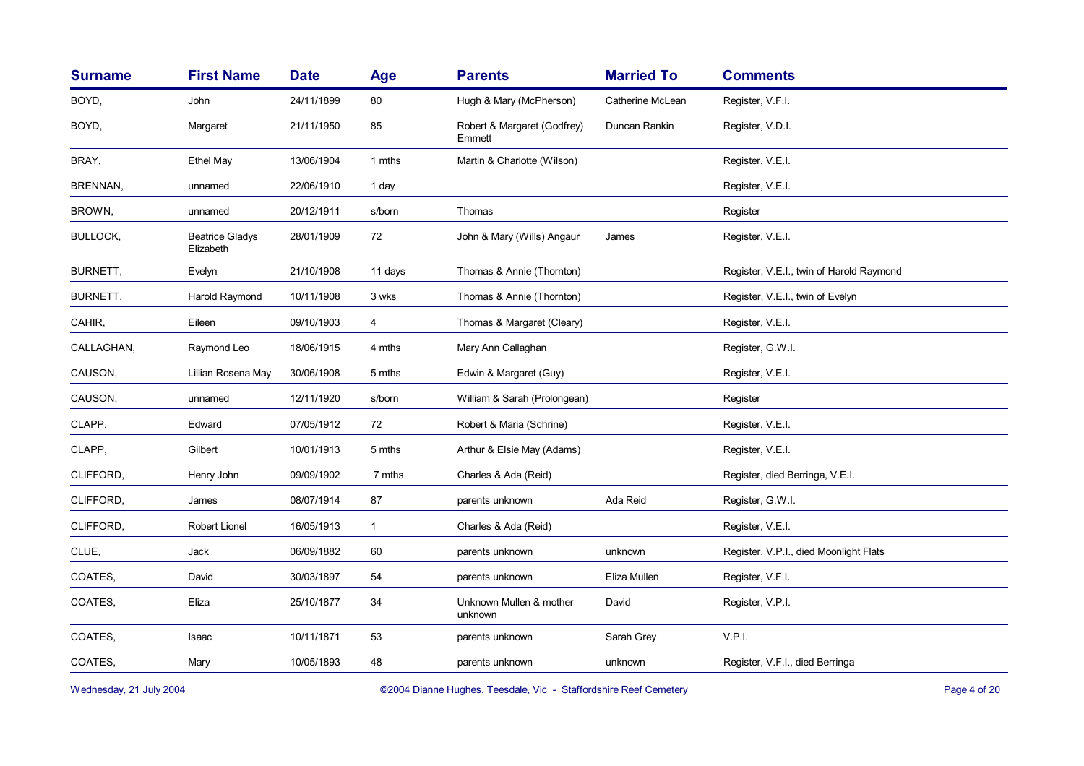| <b>Surname</b> | <b>First Name</b>                   | <b>Date</b> | Age          | <b>Parents</b>                        | <b>Married To</b> | <b>Comments</b>                          |
|----------------|-------------------------------------|-------------|--------------|---------------------------------------|-------------------|------------------------------------------|
| BOYD,          | John                                | 24/11/1899  | 80           | Hugh & Mary (McPherson)               | Catherine McLean  | Register, V.F.I.                         |
| BOYD,          | Margaret                            | 21/11/1950  | 85           | Robert & Margaret (Godfrey)<br>Emmett | Duncan Rankin     | Register, V.D.I.                         |
| BRAY,          | <b>Ethel May</b>                    | 13/06/1904  | 1 mths       | Martin & Charlotte (Wilson)           |                   | Register, V.E.I.                         |
| BRENNAN,       | unnamed                             | 22/06/1910  | 1 day        |                                       |                   | Register, V.E.I.                         |
| BROWN,         | unnamed                             | 20/12/1911  | s/born       | Thomas                                |                   | Register                                 |
| BULLOCK,       | <b>Beatrice Gladys</b><br>Elizabeth | 28/01/1909  | $72\,$       | John & Mary (Wills) Angaur            | James             | Register, V.E.I.                         |
| BURNETT,       | Evelyn                              | 21/10/1908  | 11 days      | Thomas & Annie (Thornton)             |                   | Register, V.E.I., twin of Harold Raymond |
| BURNETT,       | Harold Raymond                      | 10/11/1908  | 3 wks        | Thomas & Annie (Thornton)             |                   | Register, V.E.I., twin of Evelyn         |
| CAHIR,         | Eileen                              | 09/10/1903  | 4            | Thomas & Margaret (Cleary)            |                   | Register, V.E.I.                         |
| CALLAGHAN,     | Raymond Leo                         | 18/06/1915  | 4 mths       | Mary Ann Callaghan                    |                   | Register, G.W.I.                         |
| CAUSON,        | Lillian Rosena May                  | 30/06/1908  | 5 mths       | Edwin & Margaret (Guy)                |                   | Register, V.E.I.                         |
| CAUSON,        | unnamed                             | 12/11/1920  | s/born       | William & Sarah (Prolongean)          |                   | Register                                 |
| CLAPP,         | Edward                              | 07/05/1912  | 72           | Robert & Maria (Schrine)              |                   | Register, V.E.I.                         |
| CLAPP,         | Gilbert                             | 10/01/1913  | 5 mths       | Arthur & Elsie May (Adams)            |                   | Register, V.E.I.                         |
| CLIFFORD,      | Henry John                          | 09/09/1902  | 7 mths       | Charles & Ada (Reid)                  |                   | Register, died Berringa, V.E.I.          |
| CLIFFORD,      | James                               | 08/07/1914  | 87           | parents unknown                       | Ada Reid          | Register, G.W.I.                         |
| CLIFFORD,      | Robert Lionel                       | 16/05/1913  | $\mathbf{1}$ | Charles & Ada (Reid)                  |                   | Register, V.E.I.                         |
| CLUE,          | Jack                                | 06/09/1882  | 60           | parents unknown                       | unknown           | Register, V.P.I., died Moonlight Flats   |
| COATES,        | David                               | 30/03/1897  | 54           | parents unknown                       | Eliza Mullen      | Register, V.F.I.                         |
| COATES,        | Eliza                               | 25/10/1877  | 34           | Unknown Mullen & mother<br>unknown    | David             | Register, V.P.I.                         |
| COATES,        | Isaac                               | 10/11/1871  | 53           | parents unknown                       | Sarah Grey        | V.P.I.                                   |
| COATES,        | Mary                                | 10/05/1893  | 48           | parents unknown                       | unknown           | Register, V.F.I., died Berringa          |
|                |                                     |             |              |                                       |                   |                                          |

Wednesday, 21 July 2004 **Dianne Hughes, Teesdale, Vic - Staffordshire Reef Cemetery** Page 4 of 20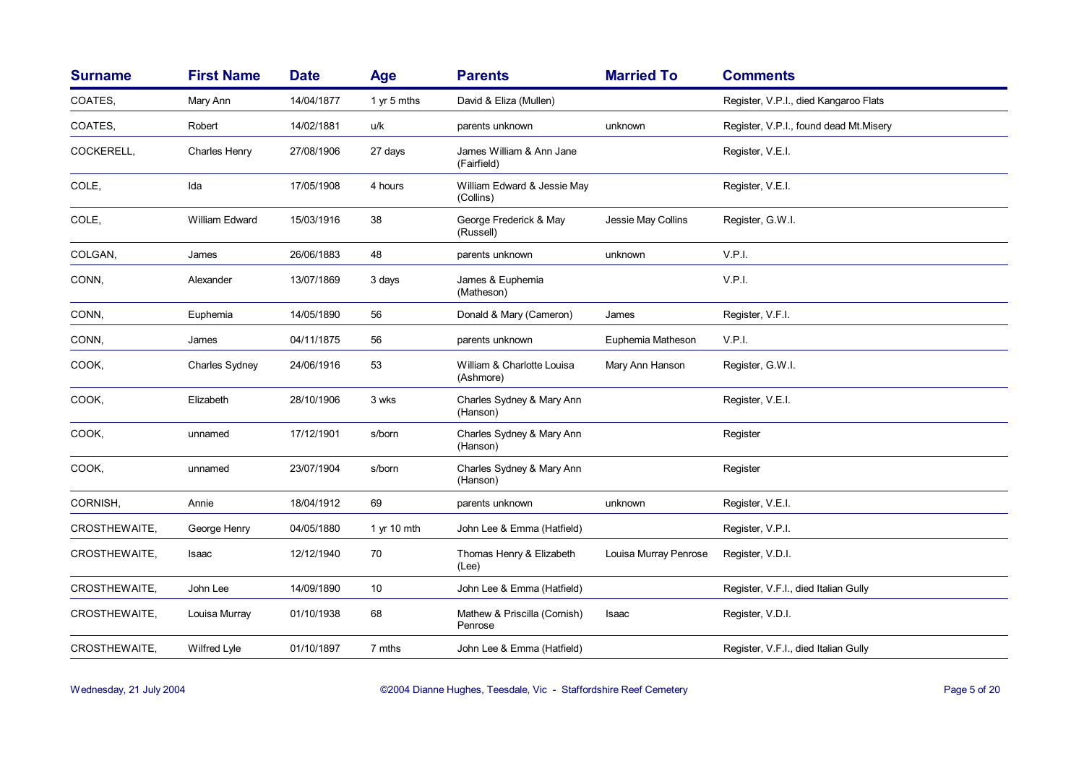| <b>Surname</b> | <b>First Name</b> | <b>Date</b> | Age           | <b>Parents</b>                           | <b>Married To</b>     | <b>Comments</b>                        |
|----------------|-------------------|-------------|---------------|------------------------------------------|-----------------------|----------------------------------------|
| COATES,        | Mary Ann          | 14/04/1877  | 1 yr 5 mths   | David & Eliza (Mullen)                   |                       | Register, V.P.I., died Kangaroo Flats  |
| COATES.        | Robert            | 14/02/1881  | u/k           | parents unknown                          | unknown               | Register, V.P.I., found dead Mt.Misery |
| COCKERELL,     | Charles Henry     | 27/08/1906  | 27 days       | James William & Ann Jane<br>(Fairfield)  |                       | Register, V.E.I.                       |
| COLE,          | Ida               | 17/05/1908  | 4 hours       | William Edward & Jessie May<br>(Collins) |                       | Register, V.E.I.                       |
| COLE,          | William Edward    | 15/03/1916  | 38            | George Frederick & May<br>(Russell)      | Jessie May Collins    | Register, G.W.I.                       |
| COLGAN,        | James             | 26/06/1883  | 48            | parents unknown                          | unknown               | V.P.I.                                 |
| CONN,          | Alexander         | 13/07/1869  | 3 days        | James & Euphemia<br>(Matheson)           |                       | V.P.I.                                 |
| CONN,          | Euphemia          | 14/05/1890  | 56            | Donald & Mary (Cameron)                  | James                 | Register, V.F.I.                       |
| CONN,          | James             | 04/11/1875  | 56            | parents unknown                          | Euphemia Matheson     | V.P.I.                                 |
| COOK,          | Charles Sydney    | 24/06/1916  | 53            | William & Charlotte Louisa<br>(Ashmore)  | Mary Ann Hanson       | Register, G.W.I.                       |
| COOK,          | Elizabeth         | 28/10/1906  | 3 wks         | Charles Sydney & Mary Ann<br>(Hanson)    |                       | Register, V.E.I.                       |
| COOK,          | unnamed           | 17/12/1901  | s/born        | Charles Sydney & Mary Ann<br>(Hanson)    |                       | Register                               |
| COOK,          | unnamed           | 23/07/1904  | s/born        | Charles Sydney & Mary Ann<br>(Hanson)    |                       | Register                               |
| CORNISH,       | Annie             | 18/04/1912  | 69            | parents unknown                          | unknown               | Register, V.E.I.                       |
| CROSTHEWAITE,  | George Henry      | 04/05/1880  | 1 $yr$ 10 mth | John Lee & Emma (Hatfield)               |                       | Register, V.P.I.                       |
| CROSTHEWAITE,  | Isaac             | 12/12/1940  | 70            | Thomas Henry & Elizabeth<br>(Lee)        | Louisa Murray Penrose | Register, V.D.I.                       |
| CROSTHEWAITE,  | John Lee          | 14/09/1890  | 10            | John Lee & Emma (Hatfield)               |                       | Register, V.F.I., died Italian Gully   |
| CROSTHEWAITE,  | Louisa Murray     | 01/10/1938  | 68            | Mathew & Priscilla (Cornish)<br>Penrose  | Isaac                 | Register, V.D.I.                       |
| CROSTHEWAITE,  | Wilfred Lyle      | 01/10/1897  | 7 mths        | John Lee & Emma (Hatfield)               |                       | Register, V.F.I., died Italian Gully   |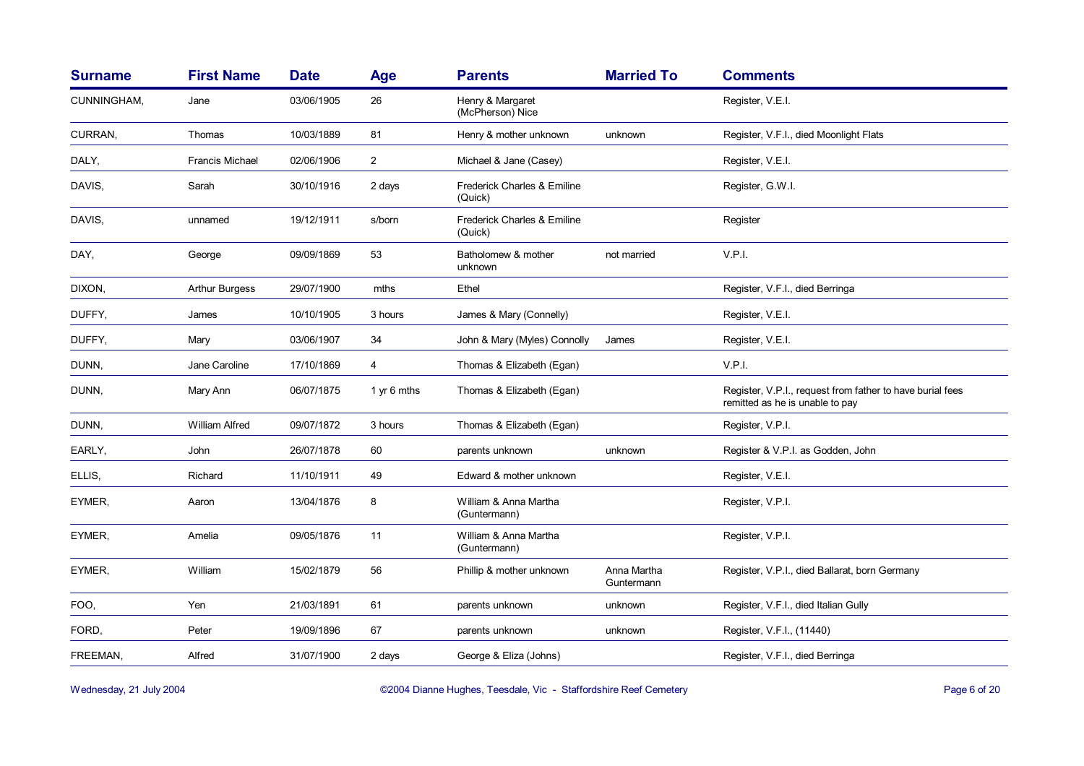| <b>Surname</b> | <b>First Name</b>      | <b>Date</b> | <b>Age</b>     | <b>Parents</b>                         | <b>Married To</b>         | <b>Comments</b>                                                                              |
|----------------|------------------------|-------------|----------------|----------------------------------------|---------------------------|----------------------------------------------------------------------------------------------|
| CUNNINGHAM,    | Jane                   | 03/06/1905  | 26             | Henry & Margaret<br>(McPherson) Nice   |                           | Register, V.E.I.                                                                             |
| CURRAN,        | Thomas                 | 10/03/1889  | 81             | Henry & mother unknown                 | unknown                   | Register, V.F.I., died Moonlight Flats                                                       |
| DALY,          | <b>Francis Michael</b> | 02/06/1906  | $\overline{2}$ | Michael & Jane (Casey)                 |                           | Register, V.E.I.                                                                             |
| DAVIS,         | Sarah                  | 30/10/1916  | 2 days         | Frederick Charles & Emiline<br>(Quick) |                           | Register, G.W.I.                                                                             |
| DAVIS,         | unnamed                | 19/12/1911  | s/born         | Frederick Charles & Emiline<br>(Quick) |                           | Register                                                                                     |
| DAY,           | George                 | 09/09/1869  | 53             | Batholomew & mother<br>unknown         | not married               | V.P.I.                                                                                       |
| DIXON,         | <b>Arthur Burgess</b>  | 29/07/1900  | mths           | Ethel                                  |                           | Register, V.F.I., died Berringa                                                              |
| DUFFY,         | James                  | 10/10/1905  | 3 hours        | James & Mary (Connelly)                |                           | Register, V.E.I.                                                                             |
| DUFFY,         | Mary                   | 03/06/1907  | 34             | John & Mary (Myles) Connolly           | James                     | Register, V.E.I.                                                                             |
| DUNN,          | Jane Caroline          | 17/10/1869  | 4              | Thomas & Elizabeth (Egan)              |                           | V.P.I.                                                                                       |
| DUNN,          | Mary Ann               | 06/07/1875  | 1 yr 6 mths    | Thomas & Elizabeth (Egan)              |                           | Register, V.P.I., request from father to have burial fees<br>remitted as he is unable to pay |
| DUNN,          | <b>William Alfred</b>  | 09/07/1872  | 3 hours        | Thomas & Elizabeth (Egan)              |                           | Register, V.P.I.                                                                             |
| EARLY,         | <b>John</b>            | 26/07/1878  | 60             | parents unknown                        | unknown                   | Register & V.P.I. as Godden, John                                                            |
| ELLIS,         | Richard                | 11/10/1911  | 49             | Edward & mother unknown                |                           | Register, V.E.I.                                                                             |
| EYMER,         | Aaron                  | 13/04/1876  | 8              | William & Anna Martha<br>(Guntermann)  |                           | Register, V.P.I.                                                                             |
| EYMER,         | Amelia                 | 09/05/1876  | 11             | William & Anna Martha<br>(Guntermann)  |                           | Register, V.P.I.                                                                             |
| EYMER,         | William                | 15/02/1879  | 56             | Phillip & mother unknown               | Anna Martha<br>Guntermann | Register, V.P.I., died Ballarat, born Germany                                                |
| FOO,           | Yen                    | 21/03/1891  | 61             | parents unknown                        | unknown                   | Register, V.F.I., died Italian Gully                                                         |
| FORD,          | Peter                  | 19/09/1896  | 67             | parents unknown                        | unknown                   | Register, V.F.I., (11440)                                                                    |
| FREEMAN,       | Alfred                 | 31/07/1900  | 2 days         | George & Eliza (Johns)                 |                           | Register, V.F.I., died Berringa                                                              |

Wednesday, 21 July 2004 **Dianne Hughes, Teesdale, Vic - Staffordshire Reef Cemetery** Page 6 of 20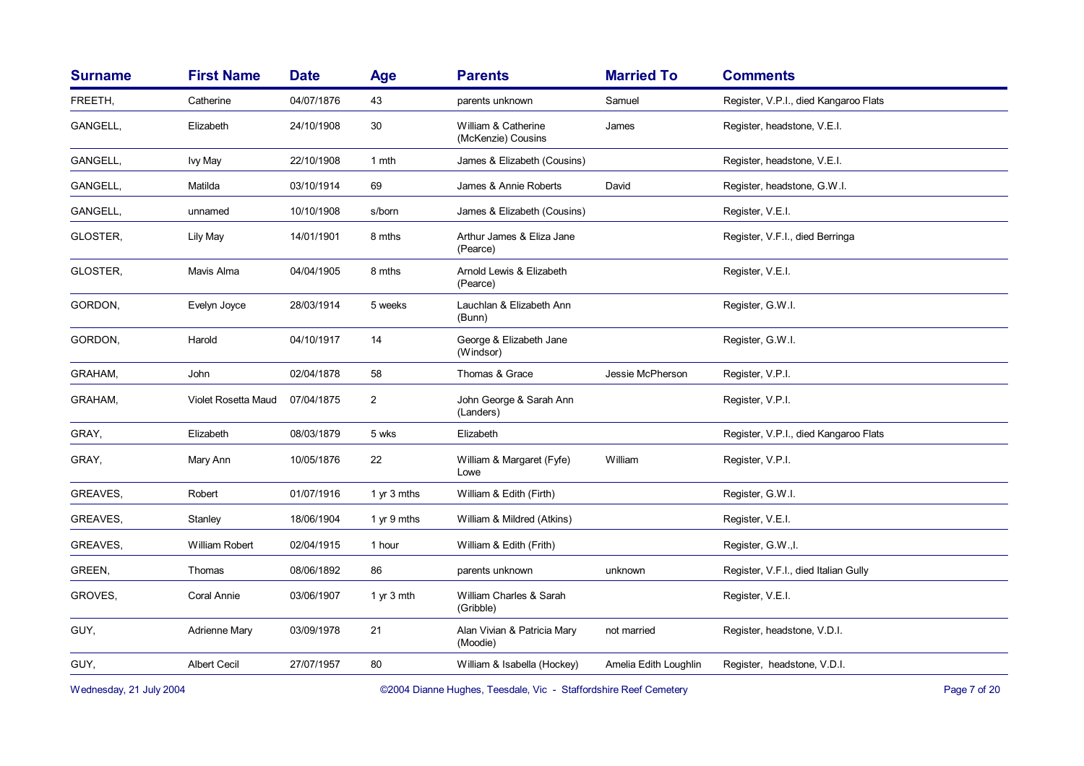| <b>First Name</b>   | <b>Date</b> | Age            | <b>Parents</b>                            | <b>Married To</b>     | <b>Comments</b>                       |
|---------------------|-------------|----------------|-------------------------------------------|-----------------------|---------------------------------------|
| Catherine           | 04/07/1876  | 43             | parents unknown                           | Samuel                | Register, V.P.I., died Kangaroo Flats |
| Elizabeth           | 24/10/1908  | 30             | William & Catherine<br>(McKenzie) Cousins | James                 | Register, headstone, V.E.I.           |
| Ivy May             | 22/10/1908  | 1 mth          | James & Elizabeth (Cousins)               |                       | Register, headstone, V.E.I.           |
| Matilda             | 03/10/1914  | 69             | James & Annie Roberts                     | David                 | Register, headstone, G.W.I.           |
| unnamed             | 10/10/1908  | s/born         | James & Elizabeth (Cousins)               |                       | Register, V.E.I.                      |
| Lily May            | 14/01/1901  | 8 mths         | Arthur James & Eliza Jane<br>(Pearce)     |                       | Register, V.F.I., died Berringa       |
| Mavis Alma          | 04/04/1905  | 8 mths         | Arnold Lewis & Elizabeth<br>(Pearce)      |                       | Register, V.E.I.                      |
| Evelyn Joyce        | 28/03/1914  | 5 weeks        | Lauchlan & Elizabeth Ann<br>(Bunn)        |                       | Register, G.W.I.                      |
| Harold              | 04/10/1917  | 14             | George & Elizabeth Jane<br>(Windsor)      |                       | Register, G.W.I.                      |
| John                | 02/04/1878  | 58             | Thomas & Grace                            | Jessie McPherson      | Register, V.P.I.                      |
| Violet Rosetta Maud | 07/04/1875  | $\overline{2}$ | John George & Sarah Ann<br>(Landers)      |                       | Register, V.P.I.                      |
| Elizabeth           | 08/03/1879  | 5 wks          | Elizabeth                                 |                       | Register, V.P.I., died Kangaroo Flats |
| Mary Ann            | 10/05/1876  | 22             | William & Margaret (Fyfe)<br>Lowe         | William               | Register, V.P.I.                      |
| Robert              | 01/07/1916  | 1 yr 3 mths    | William & Edith (Firth)                   |                       | Register, G.W.I.                      |
| Stanley             | 18/06/1904  | 1 yr 9 mths    | William & Mildred (Atkins)                |                       | Register, V.E.I.                      |
| William Robert      | 02/04/1915  | 1 hour         | William & Edith (Frith)                   |                       | Register, G.W., I.                    |
| Thomas              | 08/06/1892  | 86             | parents unknown                           | unknown               | Register, V.F.I., died Italian Gully  |
| Coral Annie         | 03/06/1907  | 1 yr 3 mth     | William Charles & Sarah<br>(Gribble)      |                       | Register, V.E.I.                      |
| Adrienne Mary       | 03/09/1978  | 21             | Alan Vivian & Patricia Mary<br>(Moodie)   | not married           | Register, headstone, V.D.I.           |
| <b>Albert Cecil</b> | 27/07/1957  | 80             | William & Isabella (Hockey)               | Amelia Edith Loughlin | Register, headstone, V.D.I.           |
|                     |             |                |                                           |                       |                                       |

Wednesday, 21 July 2004 **Dianne Hughes, Teesdale, Vic - Staffordshire Reef Cemetery** Page 7 of 20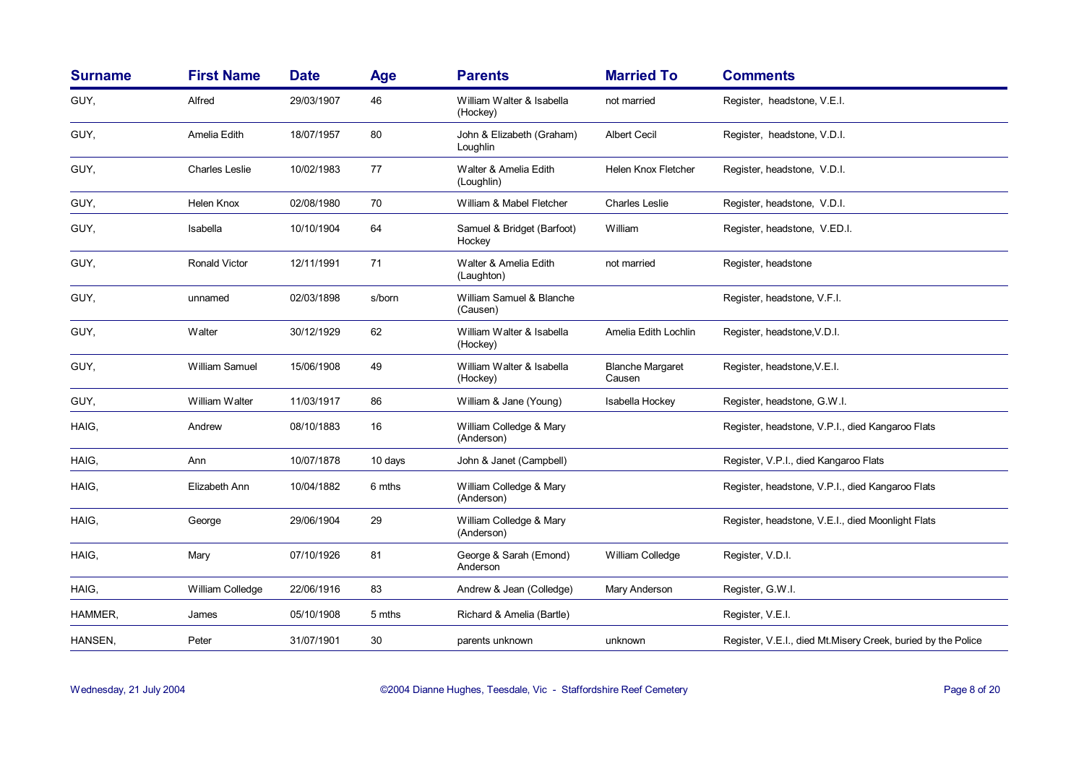| <b>Surname</b> | <b>First Name</b>     | <b>Date</b> | Age     | <b>Parents</b>                        | <b>Married To</b>                 | <b>Comments</b>                                              |
|----------------|-----------------------|-------------|---------|---------------------------------------|-----------------------------------|--------------------------------------------------------------|
| GUY,           | Alfred                | 29/03/1907  | 46      | William Walter & Isabella<br>(Hockey) | not married                       | Register, headstone, V.E.I.                                  |
| GUY,           | Amelia Edith          | 18/07/1957  | 80      | John & Elizabeth (Graham)<br>Loughlin | Albert Cecil                      | Register, headstone, V.D.I.                                  |
| GUY,           | <b>Charles Leslie</b> | 10/02/1983  | 77      | Walter & Amelia Edith<br>(Loughlin)   | <b>Helen Knox Fletcher</b>        | Register, headstone, V.D.I.                                  |
| GUY,           | Helen Knox            | 02/08/1980  | 70      | William & Mabel Fletcher              | <b>Charles Leslie</b>             | Register, headstone, V.D.I.                                  |
| GUY,           | Isabella              | 10/10/1904  | 64      | Samuel & Bridget (Barfoot)<br>Hockey  | William                           | Register, headstone, V.ED.I.                                 |
| GUY,           | <b>Ronald Victor</b>  | 12/11/1991  | 71      | Walter & Amelia Edith<br>(Laughton)   | not married                       | Register, headstone                                          |
| GUY,           | unnamed               | 02/03/1898  | s/born  | William Samuel & Blanche<br>(Causen)  |                                   | Register, headstone, V.F.I.                                  |
| GUY,           | Walter                | 30/12/1929  | 62      | William Walter & Isabella<br>(Hockey) | Amelia Edith Lochlin              | Register, headstone, V.D.I.                                  |
| GUY,           | <b>William Samuel</b> | 15/06/1908  | 49      | William Walter & Isabella<br>(Hockey) | <b>Blanche Margaret</b><br>Causen | Register, headstone, V.E.I.                                  |
| GUY,           | William Walter        | 11/03/1917  | 86      | William & Jane (Young)                | Isabella Hockey                   | Register, headstone, G.W.I.                                  |
| HAIG,          | Andrew                | 08/10/1883  | 16      | William Colledge & Mary<br>(Anderson) |                                   | Register, headstone, V.P.I., died Kangaroo Flats             |
| HAIG.          | Ann                   | 10/07/1878  | 10 days | John & Janet (Campbell)               |                                   | Register, V.P.I., died Kangaroo Flats                        |
| HAIG,          | Elizabeth Ann         | 10/04/1882  | 6 mths  | William Colledge & Mary<br>(Anderson) |                                   | Register, headstone, V.P.I., died Kangaroo Flats             |
| HAIG,          | George                | 29/06/1904  | 29      | William Colledge & Mary<br>(Anderson) |                                   | Register, headstone, V.E.I., died Moonlight Flats            |
| HAIG.          | Mary                  | 07/10/1926  | 81      | George & Sarah (Emond)<br>Anderson    | William Colledge                  | Register, V.D.I.                                             |
| HAIG,          | William Colledge      | 22/06/1916  | 83      | Andrew & Jean (Colledge)              | Mary Anderson                     | Register, G.W.I.                                             |
| HAMMER,        | James                 | 05/10/1908  | 5 mths  | Richard & Amelia (Bartle)             |                                   | Register, V.E.I.                                             |
| HANSEN,        | Peter                 | 31/07/1901  | 30      | parents unknown                       | unknown                           | Register, V.E.I., died Mt.Misery Creek, buried by the Police |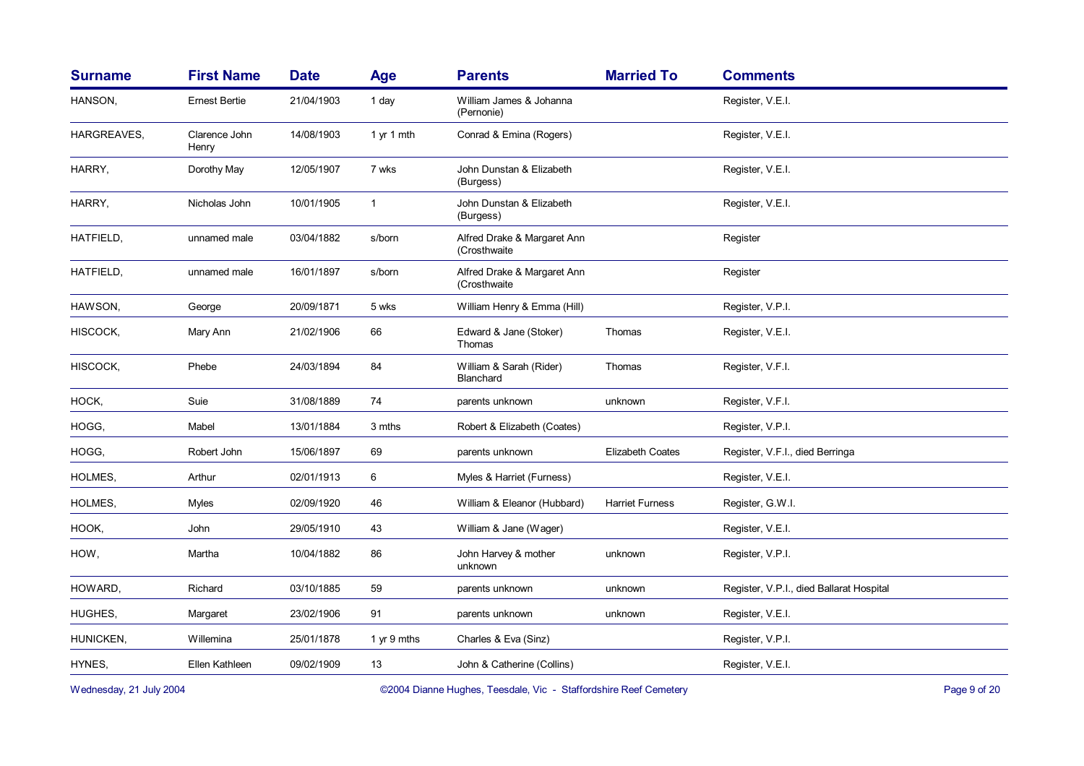| <b>Surname</b> | <b>First Name</b>      | <b>Date</b> | Age          | <b>Parents</b>                              | <b>Married To</b>       | <b>Comments</b>                          |
|----------------|------------------------|-------------|--------------|---------------------------------------------|-------------------------|------------------------------------------|
| HANSON,        | <b>Ernest Bertie</b>   | 21/04/1903  | 1 day        | William James & Johanna<br>(Pernonie)       |                         | Register, V.E.I.                         |
| HARGREAVES,    | Clarence John<br>Henry | 14/08/1903  | 1 yr 1 mth   | Conrad & Emina (Rogers)                     |                         | Register, V.E.I.                         |
| HARRY,         | Dorothy May            | 12/05/1907  | 7 wks        | John Dunstan & Elizabeth<br>(Burgess)       |                         | Register, V.E.I.                         |
| HARRY,         | Nicholas John          | 10/01/1905  | $\mathbf{1}$ | John Dunstan & Elizabeth<br>(Burgess)       |                         | Register, V.E.I.                         |
| HATFIELD,      | unnamed male           | 03/04/1882  | s/born       | Alfred Drake & Margaret Ann<br>(Crosthwaite |                         | Register                                 |
| HATFIELD,      | unnamed male           | 16/01/1897  | s/born       | Alfred Drake & Margaret Ann<br>(Crosthwaite |                         | Register                                 |
| HAWSON,        | George                 | 20/09/1871  | 5 wks        | William Henry & Emma (Hill)                 |                         | Register, V.P.I.                         |
| HISCOCK,       | Mary Ann               | 21/02/1906  | 66           | Edward & Jane (Stoker)<br>Thomas            | Thomas                  | Register, V.E.I.                         |
| HISCOCK,       | Phebe                  | 24/03/1894  | 84           | William & Sarah (Rider)<br>Blanchard        | Thomas                  | Register, V.F.I.                         |
| HOCK,          | Suie                   | 31/08/1889  | 74           | parents unknown                             | unknown                 | Register, V.F.I.                         |
| HOGG,          | Mabel                  | 13/01/1884  | 3 mths       | Robert & Elizabeth (Coates)                 |                         | Register, V.P.I.                         |
| HOGG,          | Robert John            | 15/06/1897  | 69           | parents unknown                             | <b>Elizabeth Coates</b> | Register, V.F.I., died Berringa          |
| HOLMES,        | Arthur                 | 02/01/1913  | 6            | Myles & Harriet (Furness)                   |                         | Register, V.E.I.                         |
| HOLMES,        | Myles                  | 02/09/1920  | 46           | William & Eleanor (Hubbard)                 | <b>Harriet Furness</b>  | Register, G.W.I.                         |
| HOOK,          | John                   | 29/05/1910  | 43           | William & Jane (Wager)                      |                         | Register, V.E.I.                         |
| HOW,           | Martha                 | 10/04/1882  | 86           | John Harvey & mother<br>unknown             | unknown                 | Register, V.P.I.                         |
| HOWARD,        | Richard                | 03/10/1885  | 59           | parents unknown                             | unknown                 | Register, V.P.I., died Ballarat Hospital |
| HUGHES,        | Margaret               | 23/02/1906  | 91           | parents unknown                             | unknown                 | Register, V.E.I.                         |
| HUNICKEN,      | Willemina              | 25/01/1878  | 1 yr 9 mths  | Charles & Eva (Sinz)                        |                         | Register, V.P.I.                         |
| HYNES,         | Ellen Kathleen         | 09/02/1909  | 13           | John & Catherine (Collins)                  |                         | Register, V.E.I.                         |
|                |                        |             |              |                                             |                         |                                          |

Wednesday, 21 July 2004 **Data Comment Comment Comment Comment Comment Comment Comment Comment Comment Comment Comment Comment Comment Comment Comment Comment Comment Comment Comment Comment Comment Comment Comment Comment**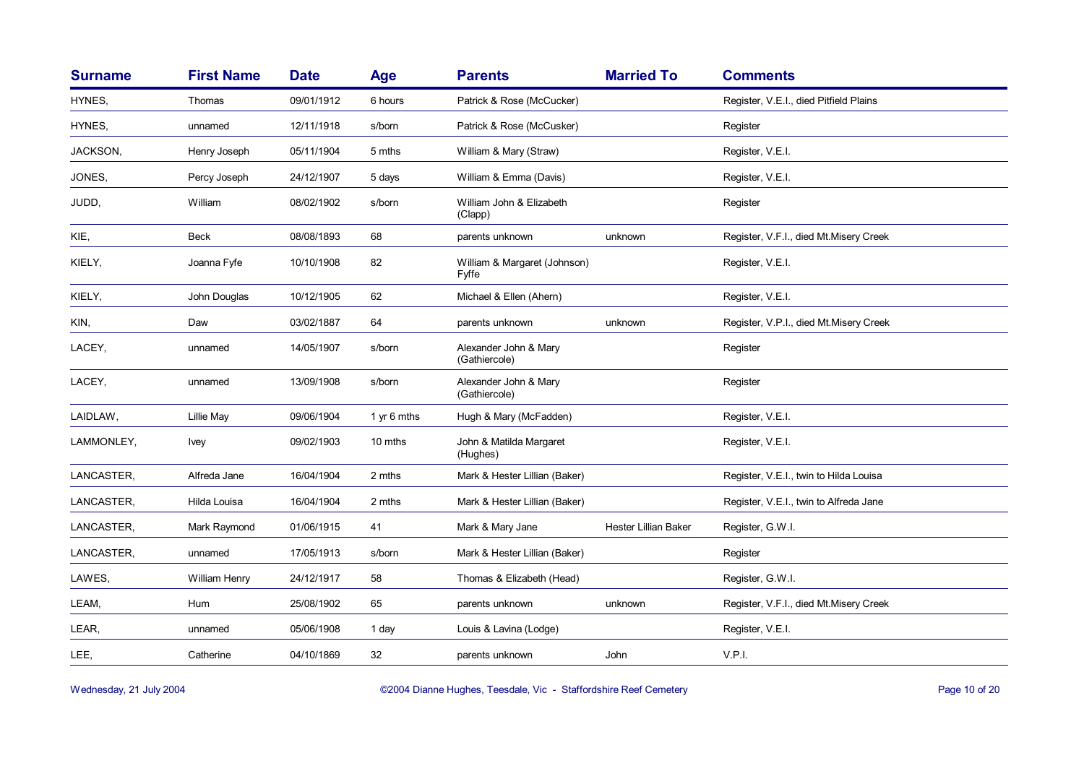| <b>Surname</b> | <b>First Name</b> | <b>Date</b> | <b>Age</b>  | <b>Parents</b>                         | <b>Married To</b>    | <b>Comments</b>                         |
|----------------|-------------------|-------------|-------------|----------------------------------------|----------------------|-----------------------------------------|
| HYNES,         | Thomas            | 09/01/1912  | 6 hours     | Patrick & Rose (McCucker)              |                      | Register, V.E.I., died Pitfield Plains  |
| HYNES.         | unnamed           | 12/11/1918  | s/born      | Patrick & Rose (McCusker)              |                      | Register                                |
| JACKSON,       | Henry Joseph      | 05/11/1904  | 5 mths      | William & Mary (Straw)                 |                      | Register, V.E.I.                        |
| JONES,         | Percy Joseph      | 24/12/1907  | 5 days      | William & Emma (Davis)                 |                      | Register, V.E.I.                        |
| JUDD,          | William           | 08/02/1902  | s/born      | William John & Elizabeth<br>(Clapp)    |                      | Register                                |
| KIE,           | <b>Beck</b>       | 08/08/1893  | 68          | parents unknown                        | unknown              | Register, V.F.I., died Mt.Misery Creek  |
| KIELY,         | Joanna Fyfe       | 10/10/1908  | 82          | William & Margaret (Johnson)<br>Fyffe  |                      | Register, V.E.I.                        |
| KIELY,         | John Douglas      | 10/12/1905  | 62          | Michael & Ellen (Ahern)                |                      | Register, V.E.I.                        |
| KIN,           | Daw               | 03/02/1887  | 64          | parents unknown                        | unknown              | Register, V.P.I., died Mt. Misery Creek |
| LACEY,         | unnamed           | 14/05/1907  | s/born      | Alexander John & Mary<br>(Gathiercole) |                      | Register                                |
| LACEY,         | unnamed           | 13/09/1908  | s/born      | Alexander John & Mary<br>(Gathiercole) |                      | Register                                |
| LAIDLAW,       | Lillie May        | 09/06/1904  | 1 yr 6 mths | Hugh & Mary (McFadden)                 |                      | Register, V.E.I.                        |
| LAMMONLEY,     | <b>Ivey</b>       | 09/02/1903  | 10 mths     | John & Matilda Margaret<br>(Hughes)    |                      | Register, V.E.I.                        |
| LANCASTER,     | Alfreda Jane      | 16/04/1904  | 2 mths      | Mark & Hester Lillian (Baker)          |                      | Register, V.E.I., twin to Hilda Louisa  |
| LANCASTER,     | Hilda Louisa      | 16/04/1904  | 2 mths      | Mark & Hester Lillian (Baker)          |                      | Register, V.E.I., twin to Alfreda Jane  |
| LANCASTER,     | Mark Raymond      | 01/06/1915  | 41          | Mark & Mary Jane                       | Hester Lillian Baker | Register, G.W.I.                        |
| LANCASTER,     | unnamed           | 17/05/1913  | s/born      | Mark & Hester Lillian (Baker)          |                      | Register                                |
| LAWES,         | William Henry     | 24/12/1917  | 58          | Thomas & Elizabeth (Head)              |                      | Register, G.W.I.                        |
| LEAM,          | Hum               | 25/08/1902  | 65          | parents unknown                        | unknown              | Register, V.F.I., died Mt.Misery Creek  |
| LEAR,          | unnamed           | 05/06/1908  | 1 day       | Louis & Lavina (Lodge)                 |                      | Register, V.E.I.                        |
| LEE,           | Catherine         | 04/10/1869  | 32          | parents unknown                        | John                 | V.P.I.                                  |

Wednesday, 21 July 2004 **Dianne Hughes, Teesdale, Vic - Staffordshire Reef Cemetery** Page 10 of 20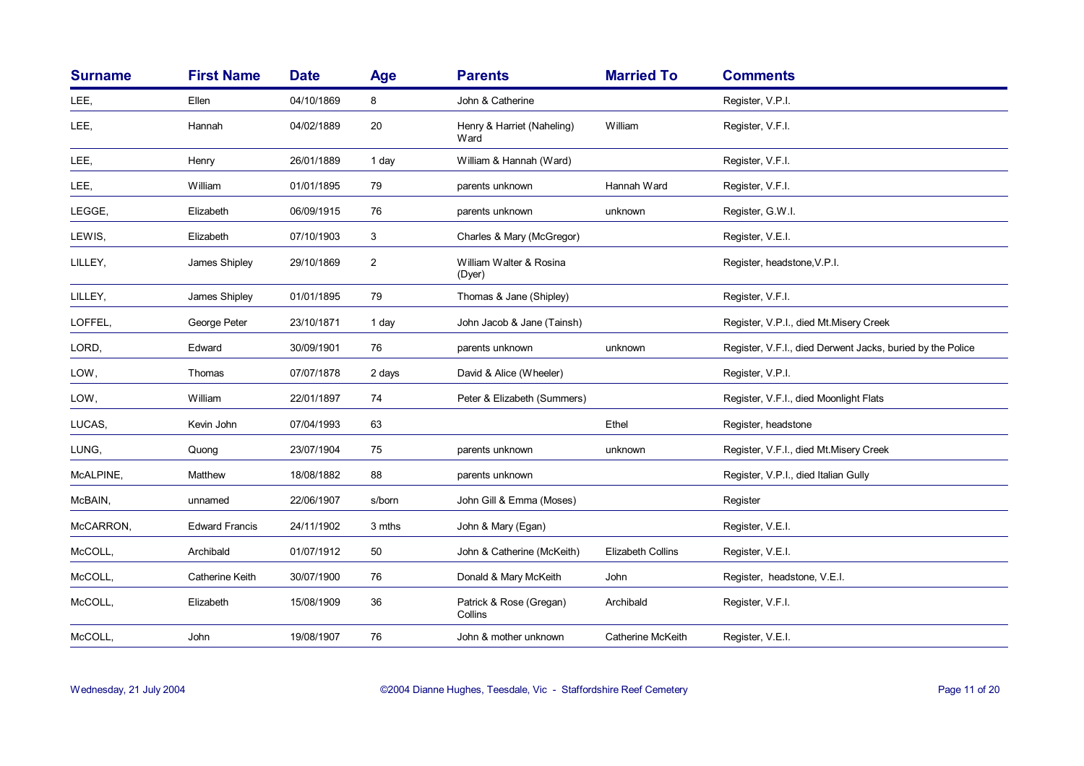| <b>Surname</b> | <b>First Name</b>     | <b>Date</b> | Age            | <b>Parents</b>                     | <b>Married To</b> | <b>Comments</b>                                            |
|----------------|-----------------------|-------------|----------------|------------------------------------|-------------------|------------------------------------------------------------|
| LEE,           | Ellen                 | 04/10/1869  | 8              | John & Catherine                   |                   | Register, V.P.I.                                           |
| LEE,           | Hannah                | 04/02/1889  | 20             | Henry & Harriet (Naheling)<br>Ward | William           | Register, V.F.I.                                           |
| LEE,           | Henry                 | 26/01/1889  | 1 day          | William & Hannah (Ward)            |                   | Register, V.F.I.                                           |
| LEE,           | William               | 01/01/1895  | 79             | parents unknown                    | Hannah Ward       | Register, V.F.I.                                           |
| LEGGE,         | Elizabeth             | 06/09/1915  | 76             | parents unknown                    | unknown           | Register, G.W.I.                                           |
| LEWIS,         | Elizabeth             | 07/10/1903  | 3              | Charles & Mary (McGregor)          |                   | Register, V.E.I.                                           |
| LILLEY,        | James Shipley         | 29/10/1869  | $\overline{2}$ | William Walter & Rosina<br>(Dyer)  |                   | Register, headstone, V.P.I.                                |
| LILLEY,        | James Shipley         | 01/01/1895  | 79             | Thomas & Jane (Shipley)            |                   | Register, V.F.I.                                           |
| LOFFEL,        | George Peter          | 23/10/1871  | 1 day          | John Jacob & Jane (Tainsh)         |                   | Register, V.P.I., died Mt.Misery Creek                     |
| LORD,          | Edward                | 30/09/1901  | 76             | parents unknown                    | unknown           | Register, V.F.I., died Derwent Jacks, buried by the Police |
| LOW,           | Thomas                | 07/07/1878  | 2 days         | David & Alice (Wheeler)            |                   | Register, V.P.I.                                           |
| LOW,           | William               | 22/01/1897  | 74             | Peter & Elizabeth (Summers)        |                   | Register, V.F.I., died Moonlight Flats                     |
| LUCAS,         | Kevin John            | 07/04/1993  | 63             |                                    | Ethel             | Register, headstone                                        |
| LUNG,          | Quong                 | 23/07/1904  | 75             | parents unknown                    | unknown           | Register, V.F.I., died Mt.Misery Creek                     |
| McALPINE,      | Matthew               | 18/08/1882  | 88             | parents unknown                    |                   | Register, V.P.I., died Italian Gully                       |
| McBAIN,        | unnamed               | 22/06/1907  | s/born         | John Gill & Emma (Moses)           |                   | Register                                                   |
| McCARRON,      | <b>Edward Francis</b> | 24/11/1902  | 3 mths         | John & Mary (Egan)                 |                   | Register, V.E.I.                                           |
| McCOLL,        | Archibald             | 01/07/1912  | 50             | John & Catherine (McKeith)         | Elizabeth Collins | Register, V.E.I.                                           |
| McCOLL,        | Catherine Keith       | 30/07/1900  | 76             | Donald & Mary McKeith              | John              | Register, headstone, V.E.I.                                |
| McCOLL,        | Elizabeth             | 15/08/1909  | 36             | Patrick & Rose (Gregan)<br>Collins | Archibald         | Register, V.F.I.                                           |
| McCOLL,        | John                  | 19/08/1907  | 76             | John & mother unknown              | Catherine McKeith | Register, V.E.I.                                           |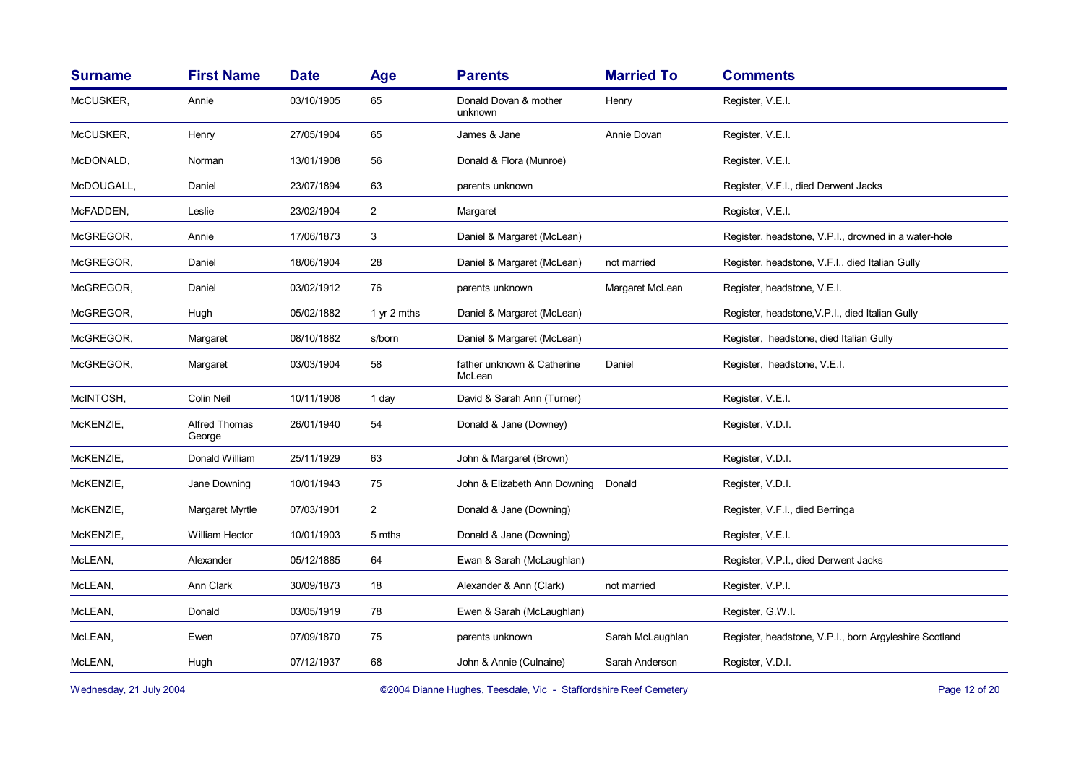| <b>Surname</b> | <b>First Name</b>       | <b>Date</b> | Age            | <b>Parents</b>                       | <b>Married To</b> | <b>Comments</b>                                        |
|----------------|-------------------------|-------------|----------------|--------------------------------------|-------------------|--------------------------------------------------------|
| McCUSKER,      | Annie                   | 03/10/1905  | 65             | Donald Dovan & mother<br>unknown     | Henry             | Register, V.E.I.                                       |
| McCUSKER,      | Henry                   | 27/05/1904  | 65             | James & Jane                         | Annie Dovan       | Register, V.E.I.                                       |
| McDONALD,      | Norman                  | 13/01/1908  | 56             | Donald & Flora (Munroe)              |                   | Register, V.E.I.                                       |
| McDOUGALL,     | Daniel                  | 23/07/1894  | 63             | parents unknown                      |                   | Register, V.F.I., died Derwent Jacks                   |
| McFADDEN,      | Leslie                  | 23/02/1904  | $\overline{2}$ | Margaret                             |                   | Register, V.E.I.                                       |
| McGREGOR,      | Annie                   | 17/06/1873  | 3              | Daniel & Margaret (McLean)           |                   | Register, headstone, V.P.I., drowned in a water-hole   |
| McGREGOR,      | Daniel                  | 18/06/1904  | 28             | Daniel & Margaret (McLean)           | not married       | Register, headstone, V.F.I., died Italian Gully        |
| McGREGOR,      | Daniel                  | 03/02/1912  | 76             | parents unknown                      | Margaret McLean   | Register, headstone, V.E.I.                            |
| McGREGOR,      | Hugh                    | 05/02/1882  | 1 yr 2 mths    | Daniel & Margaret (McLean)           |                   | Register, headstone, V.P.I., died Italian Gully        |
| McGREGOR,      | Margaret                | 08/10/1882  | s/born         | Daniel & Margaret (McLean)           |                   | Register, headstone, died Italian Gully                |
| McGREGOR,      | Margaret                | 03/03/1904  | 58             | father unknown & Catherine<br>McLean | Daniel            | Register, headstone, V.E.I.                            |
| McINTOSH,      | Colin Neil              | 10/11/1908  | 1 day          | David & Sarah Ann (Turner)           |                   | Register, V.E.I.                                       |
| McKENZIE,      | Alfred Thomas<br>George | 26/01/1940  | 54             | Donald & Jane (Downey)               |                   | Register, V.D.I.                                       |
| McKENZIE,      | Donald William          | 25/11/1929  | 63             | John & Margaret (Brown)              |                   | Register, V.D.I.                                       |
| McKENZIE,      | Jane Downing            | 10/01/1943  | 75             | John & Elizabeth Ann Downing         | Donald            | Register, V.D.I.                                       |
| McKENZIE,      | Margaret Myrtle         | 07/03/1901  | $\overline{2}$ | Donald & Jane (Downing)              |                   | Register, V.F.I., died Berringa                        |
| McKENZIE,      | William Hector          | 10/01/1903  | 5 mths         | Donald & Jane (Downing)              |                   | Register, V.E.I.                                       |
| McLEAN,        | Alexander               | 05/12/1885  | 64             | Ewan & Sarah (McLaughlan)            |                   | Register, V.P.I., died Derwent Jacks                   |
| McLEAN,        | Ann Clark               | 30/09/1873  | 18             | Alexander & Ann (Clark)              | not married       | Register, V.P.I.                                       |
| McLEAN,        | Donald                  | 03/05/1919  | 78             | Ewen & Sarah (McLaughlan)            |                   | Register, G.W.I.                                       |
| McLEAN,        | Ewen                    | 07/09/1870  | 75             | parents unknown                      | Sarah McLaughlan  | Register, headstone, V.P.I., born Argyleshire Scotland |
| McLEAN,        | Hugh                    | 07/12/1937  | 68             | John & Annie (Culnaine)              | Sarah Anderson    | Register, V.D.I.                                       |
|                |                         |             |                |                                      |                   |                                                        |

Wednesday, 21 July 2004 **Dianne Hughes, Teesdale, Vic - Staffordshire Reef Cemetery** Page 12 of 20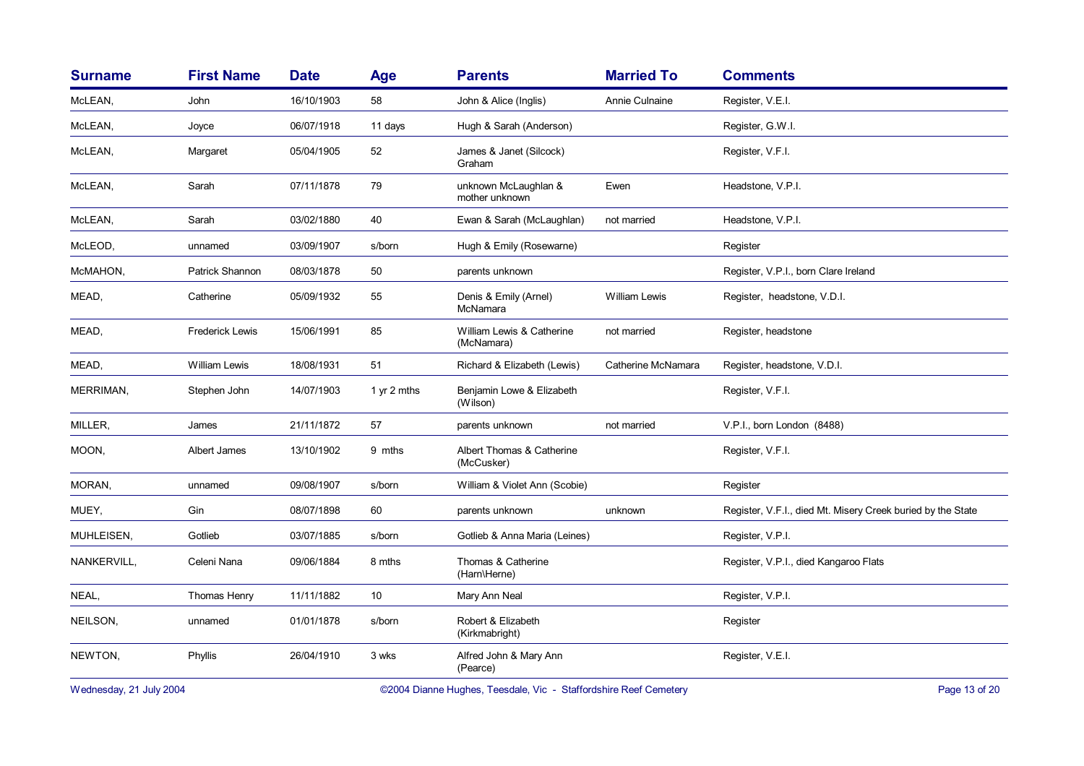| <b>Surname</b> | <b>First Name</b>      | <b>Date</b> | Age         | <b>Parents</b>                          | <b>Married To</b>    | <b>Comments</b>                                             |
|----------------|------------------------|-------------|-------------|-----------------------------------------|----------------------|-------------------------------------------------------------|
| McLEAN,        | John                   | 16/10/1903  | 58          | John & Alice (Inglis)                   | Annie Culnaine       | Register, V.E.I.                                            |
| McLEAN,        | Joyce                  | 06/07/1918  | 11 days     | Hugh & Sarah (Anderson)                 |                      | Register, G.W.I.                                            |
| McLEAN,        | Margaret               | 05/04/1905  | 52          | James & Janet (Silcock)<br>Graham       |                      | Register, V.F.I.                                            |
| McLEAN,        | Sarah                  | 07/11/1878  | 79          | unknown McLaughlan &<br>mother unknown  | Ewen                 | Headstone, V.P.I.                                           |
| McLEAN,        | Sarah                  | 03/02/1880  | 40          | Ewan & Sarah (McLaughlan)               | not married          | Headstone, V.P.I.                                           |
| McLEOD,        | unnamed                | 03/09/1907  | s/born      | Hugh & Emily (Rosewarne)                |                      | Register                                                    |
| McMAHON,       | Patrick Shannon        | 08/03/1878  | 50          | parents unknown                         |                      | Register, V.P.I., born Clare Ireland                        |
| MEAD,          | Catherine              | 05/09/1932  | 55          | Denis & Emily (Arnel)<br>McNamara       | <b>William Lewis</b> | Register, headstone, V.D.I.                                 |
| MEAD,          | <b>Frederick Lewis</b> | 15/06/1991  | 85          | William Lewis & Catherine<br>(McNamara) | not married          | Register, headstone                                         |
| MEAD,          | <b>William Lewis</b>   | 18/08/1931  | 51          | Richard & Elizabeth (Lewis)             | Catherine McNamara   | Register, headstone, V.D.I.                                 |
| MERRIMAN,      | Stephen John           | 14/07/1903  | 1 yr 2 mths | Benjamin Lowe & Elizabeth<br>(Wilson)   |                      | Register, V.F.I.                                            |
| MILLER,        | James                  | 21/11/1872  | 57          | parents unknown                         | not married          | V.P.I., born London (8488)                                  |
| MOON,          | Albert James           | 13/10/1902  | 9 mths      | Albert Thomas & Catherine<br>(McCusker) |                      | Register, V.F.I.                                            |
| MORAN,         | unnamed                | 09/08/1907  | s/born      | William & Violet Ann (Scobie)           |                      | Register                                                    |
| MUEY,          | Gin                    | 08/07/1898  | 60          | parents unknown                         | unknown              | Register, V.F.I., died Mt. Misery Creek buried by the State |
| MUHLEISEN,     | Gotlieb                | 03/07/1885  | s/born      | Gotlieb & Anna Maria (Leines)           |                      | Register, V.P.I.                                            |
| NANKERVILL,    | Celeni Nana            | 09/06/1884  | 8 mths      | Thomas & Catherine<br>(Harn\Herne)      |                      | Register, V.P.I., died Kangaroo Flats                       |
| NEAL,          | Thomas Henry           | 11/11/1882  | 10          | Mary Ann Neal                           |                      | Register, V.P.I.                                            |
| NEILSON,       | unnamed                | 01/01/1878  | s/born      | Robert & Elizabeth<br>(Kirkmabright)    |                      | Register                                                    |
| NEWTON,        | Phyllis                | 26/04/1910  | 3 wks       | Alfred John & Mary Ann<br>(Pearce)      |                      | Register, V.E.I.                                            |

Wednesday, 21 July 2004 **Dianne Hughes, Teesdale, Vic - Staffordshire Reef Cemetery** Page 13 of 20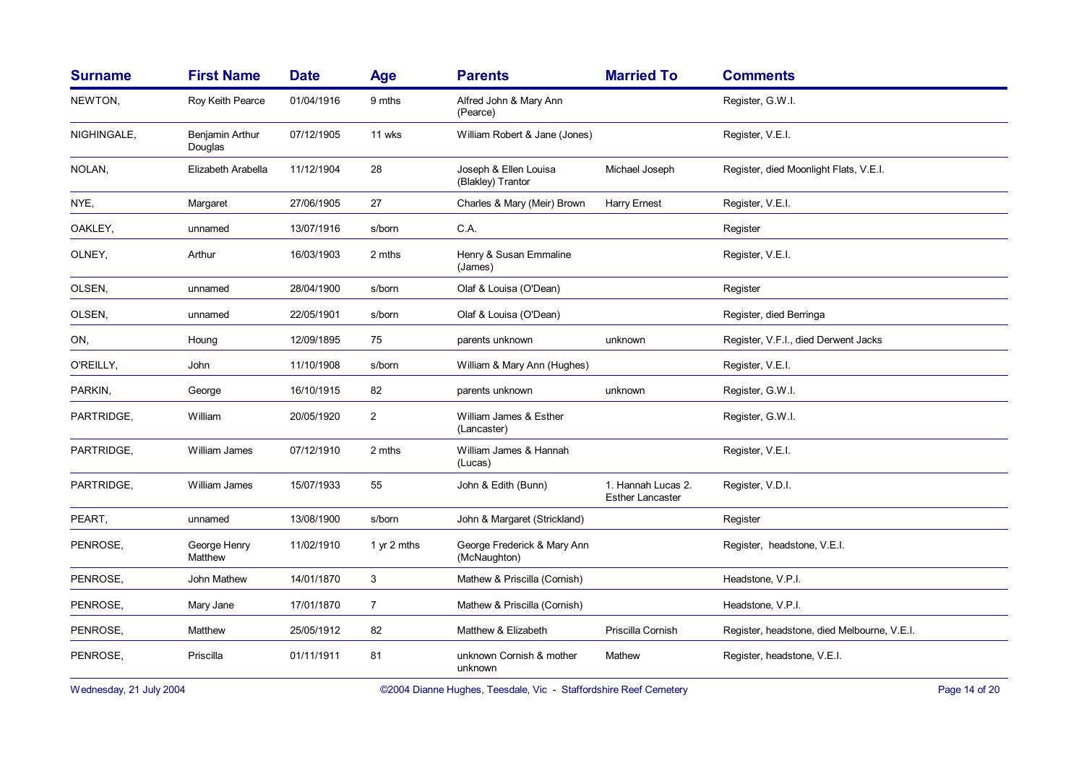| <b>Surname</b> | <b>First Name</b>          | <b>Date</b> | Age            | <b>Parents</b>                              | <b>Married To</b>                             | <b>Comments</b>                             |
|----------------|----------------------------|-------------|----------------|---------------------------------------------|-----------------------------------------------|---------------------------------------------|
| NEWTON,        | Roy Keith Pearce           | 01/04/1916  | 9 mths         | Alfred John & Mary Ann<br>(Pearce)          |                                               | Register, G.W.I.                            |
| NIGHINGALE,    | Benjamin Arthur<br>Douglas | 07/12/1905  | 11 wks         | William Robert & Jane (Jones)               |                                               | Register, V.E.I.                            |
| NOLAN,         | Elizabeth Arabella         | 11/12/1904  | 28             | Joseph & Ellen Louisa<br>(Blakley) Trantor  | Michael Joseph                                | Register, died Moonlight Flats, V.E.I.      |
| NYE,           | Margaret                   | 27/06/1905  | 27             | Charles & Mary (Meir) Brown                 | <b>Harry Ernest</b>                           | Register, V.E.I.                            |
| OAKLEY,        | unnamed                    | 13/07/1916  | s/born         | C.A.                                        |                                               | Register                                    |
| OLNEY,         | Arthur                     | 16/03/1903  | 2 mths         | Henry & Susan Emmaline<br>(James)           |                                               | Register, V.E.I.                            |
| OLSEN,         | unnamed                    | 28/04/1900  | s/born         | Olaf & Louisa (O'Dean)                      |                                               | Register                                    |
| OLSEN,         | unnamed                    | 22/05/1901  | s/born         | Olaf & Louisa (O'Dean)                      |                                               | Register, died Berringa                     |
| ON,            | Houng                      | 12/09/1895  | 75             | parents unknown                             | unknown                                       | Register, V.F.I., died Derwent Jacks        |
| O'REILLY,      | John                       | 11/10/1908  | s/born         | William & Mary Ann (Hughes)                 |                                               | Register, V.E.I.                            |
| PARKIN,        | George                     | 16/10/1915  | 82             | parents unknown                             | unknown                                       | Register, G.W.I.                            |
| PARTRIDGE,     | William                    | 20/05/1920  | $\overline{2}$ | William James & Esther<br>(Lancaster)       |                                               | Register, G.W.I.                            |
| PARTRIDGE,     | William James              | 07/12/1910  | 2 mths         | William James & Hannah<br>(Lucas)           |                                               | Register, V.E.I.                            |
| PARTRIDGE,     | William James              | 15/07/1933  | 55             | John & Edith (Bunn)                         | 1. Hannah Lucas 2.<br><b>Esther Lancaster</b> | Register, V.D.I.                            |
| PEART.         | unnamed                    | 13/08/1900  | s/born         | John & Margaret (Strickland)                |                                               | Register                                    |
| PENROSE,       | George Henry<br>Matthew    | 11/02/1910  | 1 yr 2 mths    | George Frederick & Mary Ann<br>(McNaughton) |                                               | Register, headstone, V.E.I.                 |
| PENROSE,       | John Mathew                | 14/01/1870  | 3              | Mathew & Priscilla (Cornish)                |                                               | Headstone, V.P.I.                           |
| PENROSE,       | Mary Jane                  | 17/01/1870  | $\overline{7}$ | Mathew & Priscilla (Cornish)                |                                               | Headstone, V.P.I.                           |
| PENROSE,       | Matthew                    | 25/05/1912  | 82             | Matthew & Elizabeth                         | Priscilla Cornish                             | Register, headstone, died Melbourne, V.E.I. |
| PENROSE,       | Priscilla                  | 01/11/1911  | 81             | unknown Cornish & mother<br>unknown         | Mathew                                        | Register, headstone, V.E.I.                 |

Wednesday, 21 July 2004 **Dianne Hughes, Teesdale, Vic - Staffordshire Reef Cemetery** Page 14 of 20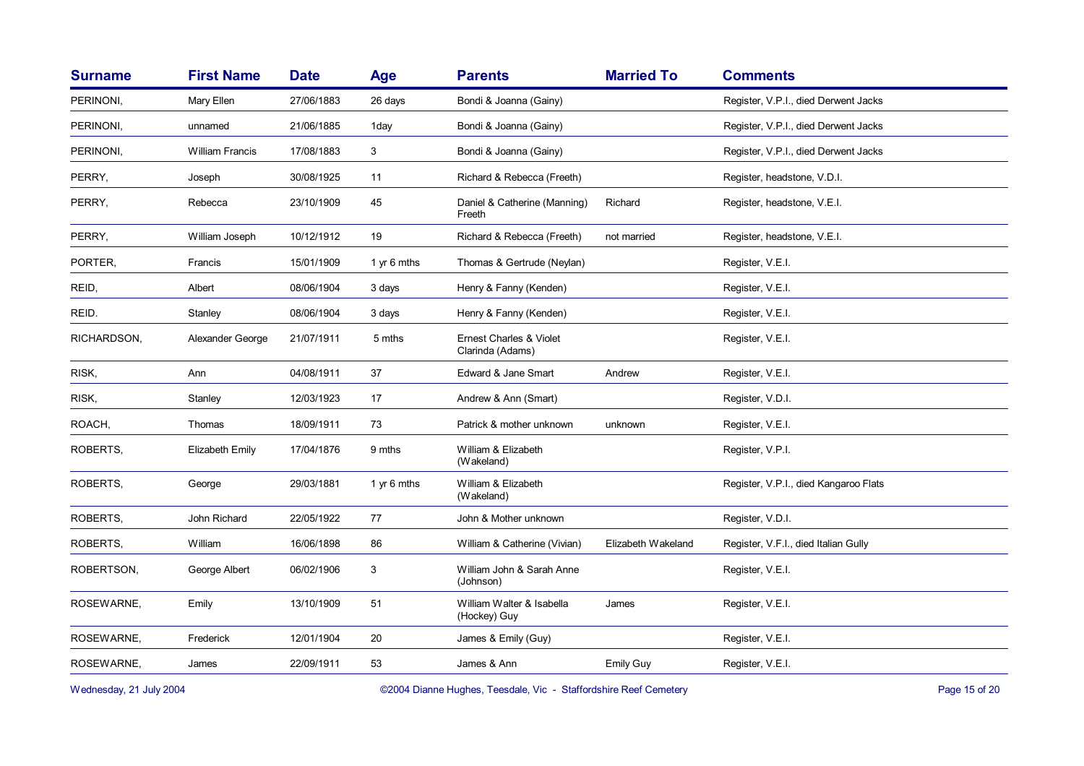| <b>Surname</b> | <b>First Name</b>      | <b>Date</b> | Age         | <b>Parents</b>                              | <b>Married To</b>  | <b>Comments</b>                       |
|----------------|------------------------|-------------|-------------|---------------------------------------------|--------------------|---------------------------------------|
| PERINONI,      | Mary Ellen             | 27/06/1883  | 26 days     | Bondi & Joanna (Gainy)                      |                    | Register, V.P.I., died Derwent Jacks  |
| PERINONI,      | unnamed                | 21/06/1885  | 1day        | Bondi & Joanna (Gainy)                      |                    | Register, V.P.I., died Derwent Jacks  |
| PERINONI,      | <b>William Francis</b> | 17/08/1883  | 3           | Bondi & Joanna (Gainy)                      |                    | Register, V.P.I., died Derwent Jacks  |
| PERRY.         | Joseph                 | 30/08/1925  | 11          | Richard & Rebecca (Freeth)                  |                    | Register, headstone, V.D.I.           |
| PERRY,         | Rebecca                | 23/10/1909  | 45          | Daniel & Catherine (Manning)<br>Freeth      | Richard            | Register, headstone, V.E.I.           |
| PERRY,         | William Joseph         | 10/12/1912  | 19          | Richard & Rebecca (Freeth)                  | not married        | Register, headstone, V.E.I.           |
| PORTER,        | Francis                | 15/01/1909  | 1 yr 6 mths | Thomas & Gertrude (Neylan)                  |                    | Register, V.E.I.                      |
| REID,          | Albert                 | 08/06/1904  | 3 days      | Henry & Fanny (Kenden)                      |                    | Register, V.E.I.                      |
| REID.          | Stanley                | 08/06/1904  | 3 days      | Henry & Fanny (Kenden)                      |                    | Register, V.E.I.                      |
| RICHARDSON,    | Alexander George       | 21/07/1911  | 5 mths      | Ernest Charles & Violet<br>Clarinda (Adams) |                    | Register, V.E.I.                      |
| RISK,          | Ann                    | 04/08/1911  | 37          | Edward & Jane Smart                         | Andrew             | Register, V.E.I.                      |
| RISK,          | Stanley                | 12/03/1923  | 17          | Andrew & Ann (Smart)                        |                    | Register, V.D.I.                      |
| ROACH,         | Thomas                 | 18/09/1911  | 73          | Patrick & mother unknown                    | unknown            | Register, V.E.I.                      |
| ROBERTS,       | Elizabeth Emily        | 17/04/1876  | 9 mths      | William & Elizabeth<br>(Wakeland)           |                    | Register, V.P.I.                      |
| ROBERTS,       | George                 | 29/03/1881  | 1 yr 6 mths | William & Elizabeth<br>(Wakeland)           |                    | Register, V.P.I., died Kangaroo Flats |
| ROBERTS,       | John Richard           | 22/05/1922  | 77          | John & Mother unknown                       |                    | Register, V.D.I.                      |
| ROBERTS,       | William                | 16/06/1898  | 86          | William & Catherine (Vivian)                | Elizabeth Wakeland | Register, V.F.I., died Italian Gully  |
| ROBERTSON,     | George Albert          | 06/02/1906  | 3           | William John & Sarah Anne<br>(Johnson)      |                    | Register, V.E.I.                      |
| ROSEWARNE,     | Emily                  | 13/10/1909  | 51          | William Walter & Isabella<br>(Hockey) Guy   | James              | Register, V.E.I.                      |
| ROSEWARNE,     | Frederick              | 12/01/1904  | 20          | James & Emily (Guy)                         |                    | Register, V.E.I.                      |
| ROSEWARNE,     | James                  | 22/09/1911  | 53          | James & Ann                                 | Emily Guy          | Register, V.E.I.                      |

Wednesday, 21 July 2004 **Dianne Hughes, Teesdale, Vic - Staffordshire Reef Cemetery** Page 15 of 20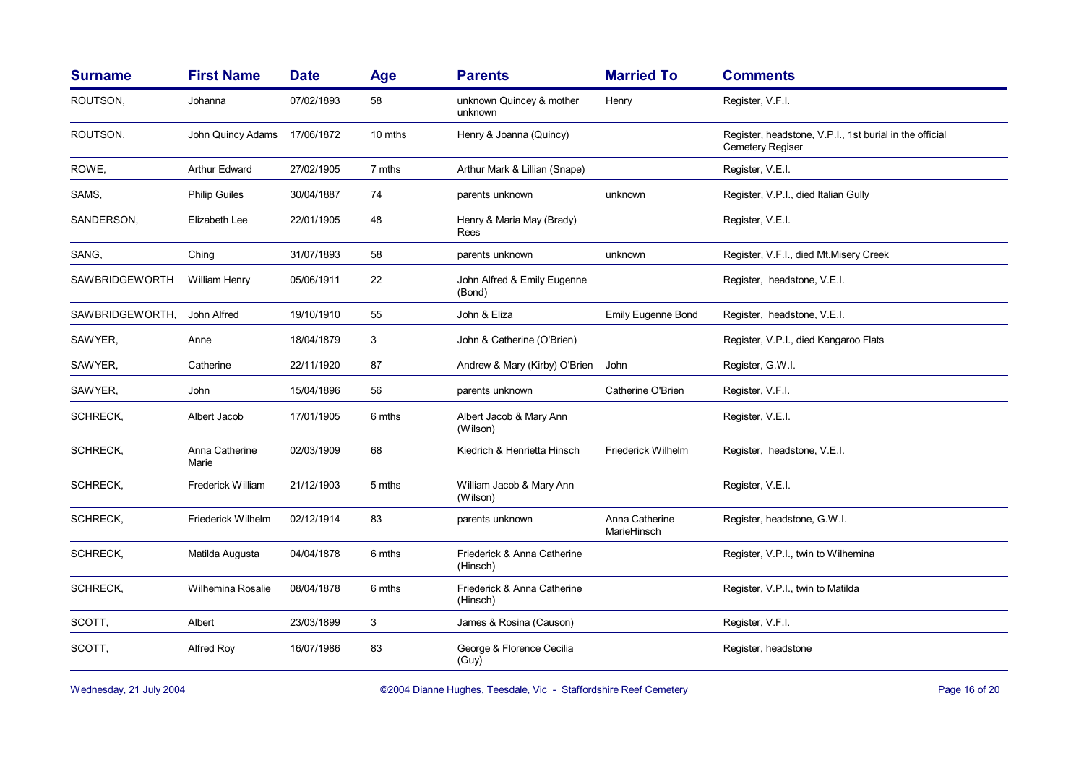| <b>Surname</b>  | <b>First Name</b>       | <b>Date</b> | Age     | <b>Parents</b>                          | <b>Married To</b>             | <b>Comments</b>                                                                    |
|-----------------|-------------------------|-------------|---------|-----------------------------------------|-------------------------------|------------------------------------------------------------------------------------|
| ROUTSON,        | Johanna                 | 07/02/1893  | 58      | unknown Quincey & mother<br>unknown     | Henry                         | Register, V.F.I.                                                                   |
| ROUTSON,        | John Quincy Adams       | 17/06/1872  | 10 mths | Henry & Joanna (Quincy)                 |                               | Register, headstone, V.P.I., 1st burial in the official<br><b>Cemetery Regiser</b> |
| ROWE,           | Arthur Edward           | 27/02/1905  | 7 mths  | Arthur Mark & Lillian (Snape)           |                               | Register, V.E.I.                                                                   |
| SAMS,           | <b>Philip Guiles</b>    | 30/04/1887  | 74      | parents unknown                         | unknown                       | Register, V.P.I., died Italian Gully                                               |
| SANDERSON,      | Elizabeth Lee           | 22/01/1905  | 48      | Henry & Maria May (Brady)<br>Rees       |                               | Register, V.E.I.                                                                   |
| SANG,           | Ching                   | 31/07/1893  | 58      | parents unknown                         | unknown                       | Register, V.F.I., died Mt.Misery Creek                                             |
| SAWBRIDGEWORTH  | William Henry           | 05/06/1911  | 22      | John Alfred & Emily Eugenne<br>(Bond)   |                               | Register, headstone, V.E.I.                                                        |
| SAWBRIDGEWORTH, | John Alfred             | 19/10/1910  | 55      | John & Eliza                            | <b>Emily Eugenne Bond</b>     | Register, headstone, V.E.I.                                                        |
| SAWYER,         | Anne                    | 18/04/1879  | 3       | John & Catherine (O'Brien)              |                               | Register, V.P.I., died Kangaroo Flats                                              |
| SAWYER,         | Catherine               | 22/11/1920  | 87      | Andrew & Mary (Kirby) O'Brien           | John                          | Register, G.W.I.                                                                   |
| SAWYER,         | John                    | 15/04/1896  | 56      | parents unknown                         | Catherine O'Brien             | Register, V.F.I.                                                                   |
| SCHRECK,        | Albert Jacob            | 17/01/1905  | 6 mths  | Albert Jacob & Mary Ann<br>(Wilson)     |                               | Register, V.E.I.                                                                   |
| <b>SCHRECK,</b> | Anna Catherine<br>Marie | 02/03/1909  | 68      | Kiedrich & Henrietta Hinsch             | Friederick Wilhelm            | Register, headstone, V.E.I.                                                        |
| SCHRECK,        | Frederick William       | 21/12/1903  | 5 mths  | William Jacob & Mary Ann<br>(Wilson)    |                               | Register, V.E.I.                                                                   |
| SCHRECK,        | Friederick Wilhelm      | 02/12/1914  | 83      | parents unknown                         | Anna Catherine<br>MarieHinsch | Register, headstone, G.W.I.                                                        |
| SCHRECK,        | Matilda Augusta         | 04/04/1878  | 6 mths  | Friederick & Anna Catherine<br>(Hinsch) |                               | Register, V.P.I., twin to Wilhemina                                                |
| SCHRECK,        | Wilhemina Rosalie       | 08/04/1878  | 6 mths  | Friederick & Anna Catherine<br>(Hinsch) |                               | Register, V.P.I., twin to Matilda                                                  |
| SCOTT,          | Albert                  | 23/03/1899  | 3       | James & Rosina (Causon)                 |                               | Register, V.F.I.                                                                   |
| SCOTT.          | Alfred Roy              | 16/07/1986  | 83      | George & Florence Cecilia<br>(Guy)      |                               | Register, headstone                                                                |

Wednesday, 21 July 2004 **Dianne Hughes, Teesdale, Vic - Staffordshire Reef Cemetery** Page 16 of 20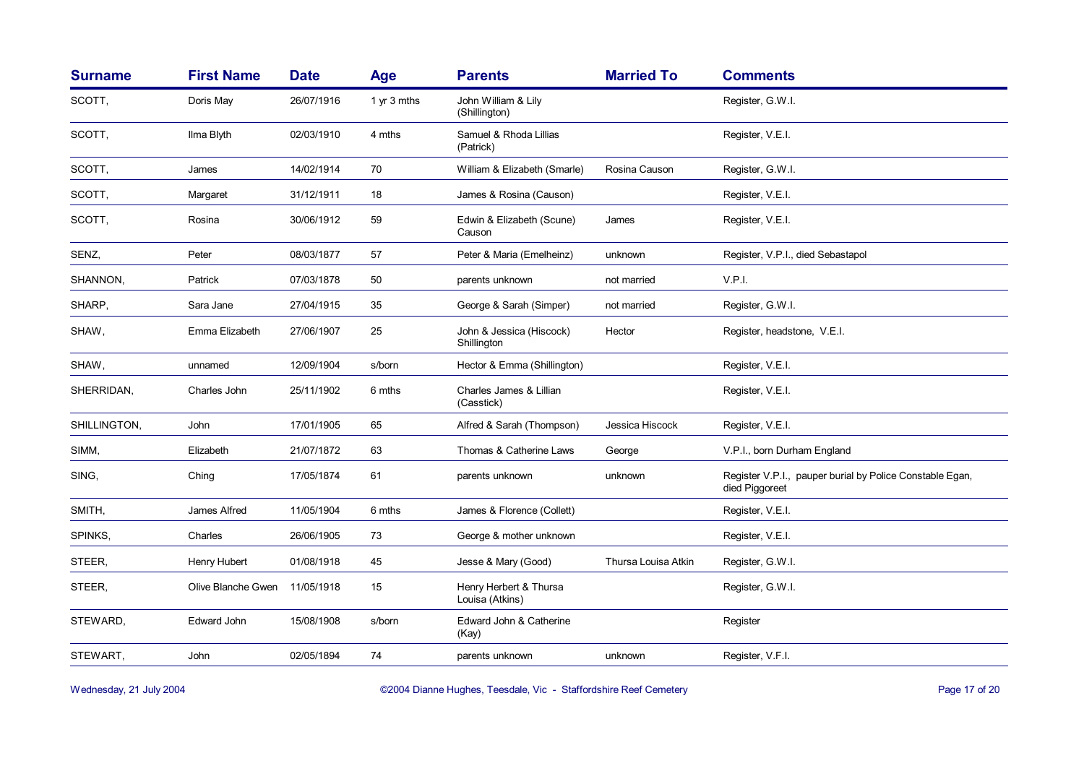| <b>Surname</b> | <b>First Name</b>  | <b>Date</b> | <b>Age</b>  | <b>Parents</b>                            | <b>Married To</b>   | <b>Comments</b>                                                            |
|----------------|--------------------|-------------|-------------|-------------------------------------------|---------------------|----------------------------------------------------------------------------|
| SCOTT,         | Doris May          | 26/07/1916  | 1 yr 3 mths | John William & Lily<br>(Shillington)      |                     | Register, G.W.I.                                                           |
| SCOTT,         | Ilma Blyth         | 02/03/1910  | 4 mths      | Samuel & Rhoda Lillias<br>(Patrick)       |                     | Register, V.E.I.                                                           |
| SCOTT,         | James              | 14/02/1914  | 70          | William & Elizabeth (Smarle)              | Rosina Causon       | Register, G.W.I.                                                           |
| SCOTT,         | Margaret           | 31/12/1911  | 18          | James & Rosina (Causon)                   |                     | Register, V.E.I.                                                           |
| SCOTT,         | Rosina             | 30/06/1912  | 59          | Edwin & Elizabeth (Scune)<br>Causon       | James               | Register, V.E.I.                                                           |
| SENZ,          | Peter              | 08/03/1877  | 57          | Peter & Maria (Emelheinz)                 | unknown             | Register, V.P.I., died Sebastapol                                          |
| SHANNON,       | Patrick            | 07/03/1878  | 50          | parents unknown                           | not married         | V.P.I.                                                                     |
| SHARP.         | Sara Jane          | 27/04/1915  | 35          | George & Sarah (Simper)                   | not married         | Register, G.W.I.                                                           |
| SHAW,          | Emma Elizabeth     | 27/06/1907  | 25          | John & Jessica (Hiscock)<br>Shillington   | Hector              | Register, headstone, V.E.I.                                                |
| SHAW,          | unnamed            | 12/09/1904  | s/born      | Hector & Emma (Shillington)               |                     | Register, V.E.I.                                                           |
| SHERRIDAN,     | Charles John       | 25/11/1902  | 6 mths      | Charles James & Lillian<br>(Casstick)     |                     | Register, V.E.I.                                                           |
| SHILLINGTON,   | John               | 17/01/1905  | 65          | Alfred & Sarah (Thompson)                 | Jessica Hiscock     | Register, V.E.I.                                                           |
| SIMM,          | Elizabeth          | 21/07/1872  | 63          | Thomas & Catherine Laws                   | George              | V.P.I., born Durham England                                                |
| SING.          | Ching              | 17/05/1874  | 61          | parents unknown                           | unknown             | Register V.P.I., pauper burial by Police Constable Egan,<br>died Piggoreet |
| SMITH,         | James Alfred       | 11/05/1904  | 6 mths      | James & Florence (Collett)                |                     | Register, V.E.I.                                                           |
| SPINKS.        | Charles            | 26/06/1905  | 73          | George & mother unknown                   |                     | Register, V.E.I.                                                           |
| STEER,         | Henry Hubert       | 01/08/1918  | 45          | Jesse & Mary (Good)                       | Thursa Louisa Atkin | Register, G.W.I.                                                           |
| STEER,         | Olive Blanche Gwen | 11/05/1918  | 15          | Henry Herbert & Thursa<br>Louisa (Atkins) |                     | Register, G.W.I.                                                           |
| STEWARD,       | Edward John        | 15/08/1908  | s/born      | Edward John & Catherine<br>(Kay)          |                     | Register                                                                   |
| STEWART,       | John               | 02/05/1894  | 74          | parents unknown                           | unknown             | Register, V.F.I.                                                           |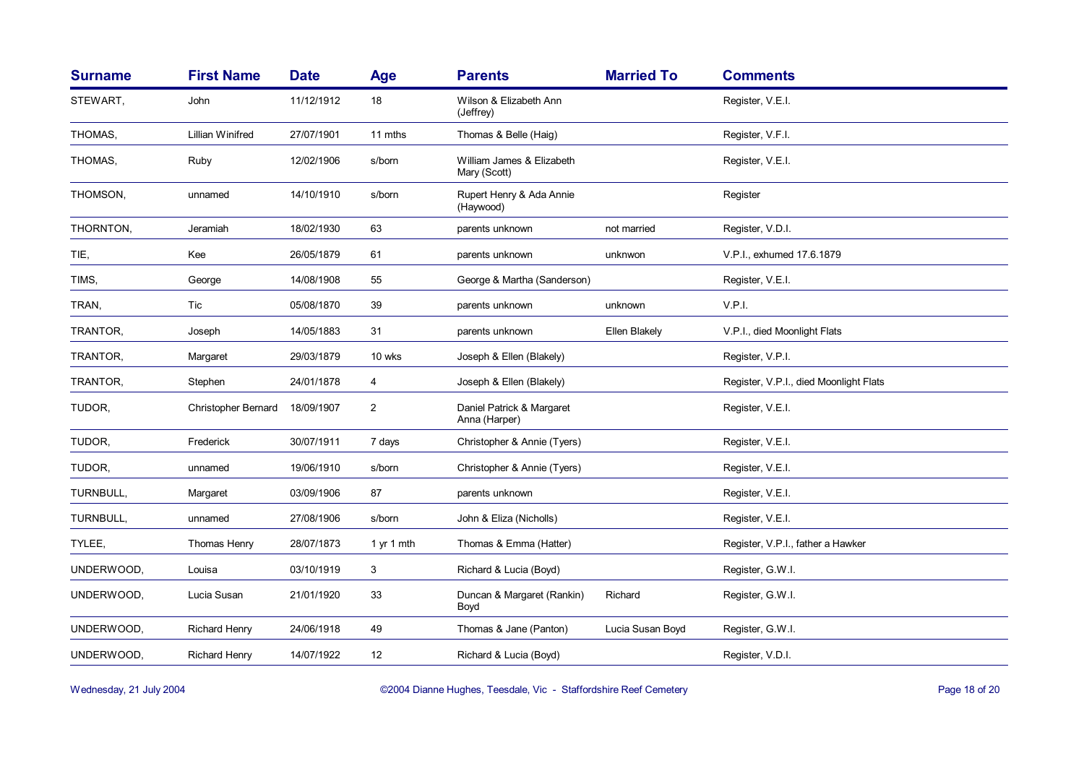| <b>Surname</b> | <b>First Name</b>          | <b>Date</b> | <b>Age</b>     | <b>Parents</b>                             | <b>Married To</b> | <b>Comments</b>                        |
|----------------|----------------------------|-------------|----------------|--------------------------------------------|-------------------|----------------------------------------|
| STEWART,       | John                       | 11/12/1912  | 18             | Wilson & Elizabeth Ann<br>(Jeffrey)        |                   | Register, V.E.I.                       |
| THOMAS,        | Lillian Winifred           | 27/07/1901  | 11 mths        | Thomas & Belle (Haig)                      |                   | Register, V.F.I.                       |
| THOMAS,        | Ruby                       | 12/02/1906  | s/born         | William James & Elizabeth<br>Mary (Scott)  |                   | Register, V.E.I.                       |
| THOMSON,       | unnamed                    | 14/10/1910  | s/born         | Rupert Henry & Ada Annie<br>(Haywood)      |                   | Register                               |
| THORNTON,      | Jeramiah                   | 18/02/1930  | 63             | parents unknown                            | not married       | Register, V.D.I.                       |
| TIE,           | Kee                        | 26/05/1879  | 61             | parents unknown                            | unknwon           | V.P.I., exhumed 17.6.1879              |
| TIMS,          | George                     | 14/08/1908  | 55             | George & Martha (Sanderson)                |                   | Register, V.E.I.                       |
| TRAN,          | Tic                        | 05/08/1870  | 39             | parents unknown                            | unknown           | V.P.I.                                 |
| TRANTOR,       | Joseph                     | 14/05/1883  | 31             | parents unknown                            | Ellen Blakely     | V.P.I., died Moonlight Flats           |
| TRANTOR,       | Margaret                   | 29/03/1879  | 10 wks         | Joseph & Ellen (Blakely)                   |                   | Register, V.P.I.                       |
| TRANTOR,       | Stephen                    | 24/01/1878  | 4              | Joseph & Ellen (Blakely)                   |                   | Register, V.P.I., died Moonlight Flats |
| TUDOR.         | <b>Christopher Bernard</b> | 18/09/1907  | $\overline{2}$ | Daniel Patrick & Margaret<br>Anna (Harper) |                   | Register, V.E.I.                       |
| TUDOR.         | Frederick                  | 30/07/1911  | 7 days         | Christopher & Annie (Tyers)                |                   | Register, V.E.I.                       |
| TUDOR,         | unnamed                    | 19/06/1910  | s/born         | Christopher & Annie (Tyers)                |                   | Register, V.E.I.                       |
| TURNBULL,      | Margaret                   | 03/09/1906  | 87             | parents unknown                            |                   | Register, V.E.I.                       |
| TURNBULL,      | unnamed                    | 27/08/1906  | s/born         | John & Eliza (Nicholls)                    |                   | Register, V.E.I.                       |
| TYLEE,         | Thomas Henry               | 28/07/1873  | 1 yr 1 mth     | Thomas & Emma (Hatter)                     |                   | Register, V.P.I., father a Hawker      |
| UNDERWOOD,     | Louisa                     | 03/10/1919  | 3              | Richard & Lucia (Boyd)                     |                   | Register, G.W.I.                       |
| UNDERWOOD,     | Lucia Susan                | 21/01/1920  | 33             | Duncan & Margaret (Rankin)<br>Boyd         | Richard           | Register, G.W.I.                       |
| UNDERWOOD,     | <b>Richard Henry</b>       | 24/06/1918  | 49             | Thomas & Jane (Panton)                     | Lucia Susan Boyd  | Register, G.W.I.                       |
| UNDERWOOD,     | <b>Richard Henry</b>       | 14/07/1922  | 12             | Richard & Lucia (Boyd)                     |                   | Register, V.D.I.                       |

Wednesday, 21 July 2004 **Dianne Hughes, Teesdale, Vic - Staffordshire Reef Cemetery** Page 18 of 20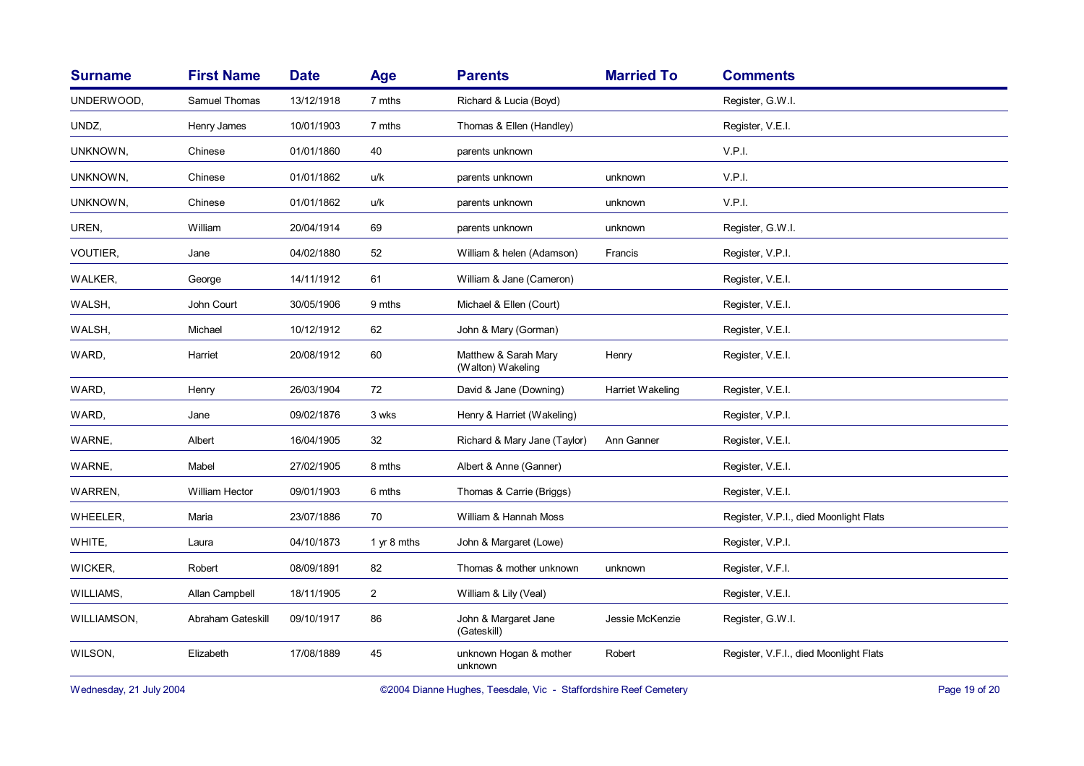| <b>Surname</b> | <b>First Name</b>     | <b>Date</b> | Age            | <b>Parents</b>                            | <b>Married To</b> | <b>Comments</b>                        |
|----------------|-----------------------|-------------|----------------|-------------------------------------------|-------------------|----------------------------------------|
| UNDERWOOD,     | Samuel Thomas         | 13/12/1918  | 7 mths         | Richard & Lucia (Boyd)                    |                   | Register, G.W.I.                       |
| UNDZ,          | Henry James           | 10/01/1903  | 7 mths         | Thomas & Ellen (Handley)                  |                   | Register, V.E.I.                       |
| UNKNOWN,       | Chinese               | 01/01/1860  | 40             | parents unknown                           |                   | V.P.I.                                 |
| UNKNOWN,       | Chinese               | 01/01/1862  | u/k            | parents unknown                           | unknown           | V.P.I.                                 |
| UNKNOWN,       | Chinese               | 01/01/1862  | u/k            | parents unknown                           | unknown           | V.P.I.                                 |
| UREN,          | William               | 20/04/1914  | 69             | parents unknown                           | unknown           | Register, G.W.I.                       |
| VOUTIER,       | Jane                  | 04/02/1880  | 52             | William & helen (Adamson)                 | Francis           | Register, V.P.I.                       |
| WALKER,        | George                | 14/11/1912  | 61             | William & Jane (Cameron)                  |                   | Register, V.E.I.                       |
| WALSH,         | John Court            | 30/05/1906  | 9 mths         | Michael & Ellen (Court)                   |                   | Register, V.E.I.                       |
| WALSH,         | Michael               | 10/12/1912  | 62             | John & Mary (Gorman)                      |                   | Register, V.E.I.                       |
| WARD,          | Harriet               | 20/08/1912  | 60             | Matthew & Sarah Mary<br>(Walton) Wakeling | Henry             | Register, V.E.I.                       |
| WARD,          | Henry                 | 26/03/1904  | 72             | David & Jane (Downing)                    | Harriet Wakeling  | Register, V.E.I.                       |
| WARD,          | Jane                  | 09/02/1876  | 3 wks          | Henry & Harriet (Wakeling)                |                   | Register, V.P.I.                       |
| WARNE,         | Albert                | 16/04/1905  | 32             | Richard & Mary Jane (Taylor)              | Ann Ganner        | Register, V.E.I.                       |
| WARNE,         | Mabel                 | 27/02/1905  | 8 mths         | Albert & Anne (Ganner)                    |                   | Register, V.E.I.                       |
| WARREN,        | <b>William Hector</b> | 09/01/1903  | 6 mths         | Thomas & Carrie (Briggs)                  |                   | Register, V.E.I.                       |
| WHEELER,       | Maria                 | 23/07/1886  | 70             | William & Hannah Moss                     |                   | Register, V.P.I., died Moonlight Flats |
| WHITE,         | Laura                 | 04/10/1873  | 1 yr 8 mths    | John & Margaret (Lowe)                    |                   | Register, V.P.I.                       |
| WICKER,        | Robert                | 08/09/1891  | 82             | Thomas & mother unknown                   | unknown           | Register, V.F.I.                       |
| WILLIAMS,      | Allan Campbell        | 18/11/1905  | $\overline{a}$ | William & Lily (Veal)                     |                   | Register, V.E.I.                       |
| WILLIAMSON,    | Abraham Gateskill     | 09/10/1917  | 86             | John & Margaret Jane<br>(Gateskill)       | Jessie McKenzie   | Register, G.W.I.                       |
| WILSON,        | Elizabeth             | 17/08/1889  | 45             | unknown Hogan & mother<br>unknown         | Robert            | Register, V.F.I., died Moonlight Flats |

Wednesday, 21 July 2004 **Dianne Hughes, Teesdale, Vic - Staffordshire Reef Cemetery** Page 19 of 20